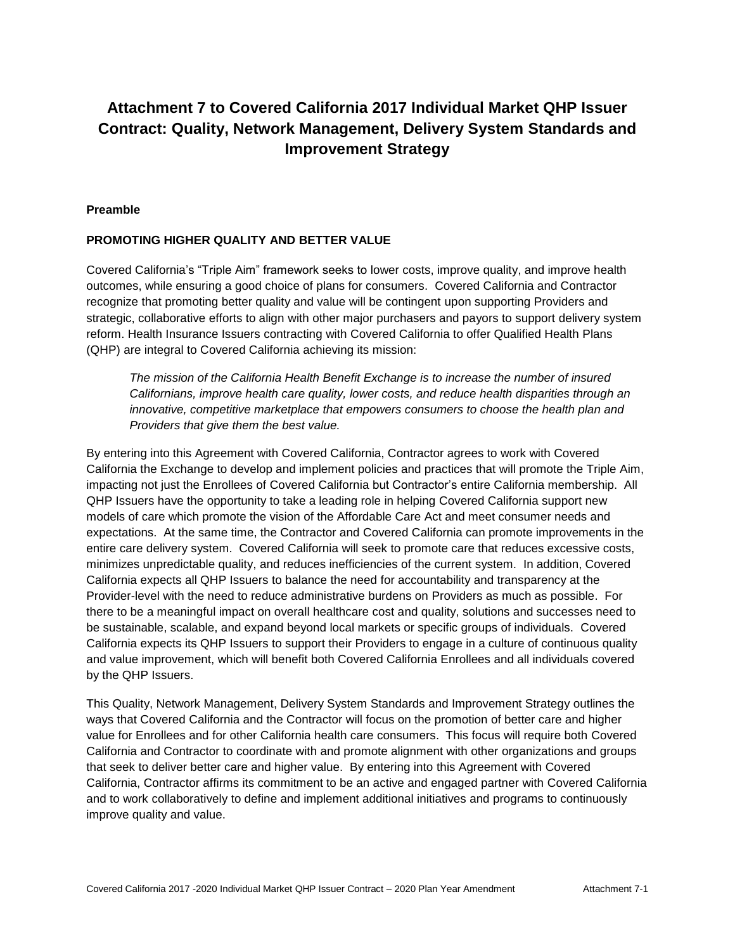# **Attachment 7 to Covered California 2017 Individual Market QHP Issuer Contract: Quality, Network Management, Delivery System Standards and Improvement Strategy**

#### **Preamble**

#### **PROMOTING HIGHER QUALITY AND BETTER VALUE**

Covered California's "Triple Aim" framework seeks to lower costs, improve quality, and improve health outcomes, while ensuring a good choice of plans for consumers. Covered California and Contractor recognize that promoting better quality and value will be contingent upon supporting Providers and strategic, collaborative efforts to align with other major purchasers and payors to support delivery system reform. Health Insurance Issuers contracting with Covered California to offer Qualified Health Plans (QHP) are integral to Covered California achieving its mission:

*The mission of the California Health Benefit Exchange is to increase the number of insured Californians, improve health care quality, lower costs, and reduce health disparities through an innovative, competitive marketplace that empowers consumers to choose the health plan and Providers that give them the best value.*

By entering into this Agreement with Covered California, Contractor agrees to work with Covered California the Exchange to develop and implement policies and practices that will promote the Triple Aim, impacting not just the Enrollees of Covered California but Contractor's entire California membership. All QHP Issuers have the opportunity to take a leading role in helping Covered California support new models of care which promote the vision of the Affordable Care Act and meet consumer needs and expectations. At the same time, the Contractor and Covered California can promote improvements in the entire care delivery system. Covered California will seek to promote care that reduces excessive costs, minimizes unpredictable quality, and reduces inefficiencies of the current system. In addition, Covered California expects all QHP Issuers to balance the need for accountability and transparency at the Provider-level with the need to reduce administrative burdens on Providers as much as possible. For there to be a meaningful impact on overall healthcare cost and quality, solutions and successes need to be sustainable, scalable, and expand beyond local markets or specific groups of individuals. Covered California expects its QHP Issuers to support their Providers to engage in a culture of continuous quality and value improvement, which will benefit both Covered California Enrollees and all individuals covered by the QHP Issuers.

This Quality, Network Management, Delivery System Standards and Improvement Strategy outlines the ways that Covered California and the Contractor will focus on the promotion of better care and higher value for Enrollees and for other California health care consumers. This focus will require both Covered California and Contractor to coordinate with and promote alignment with other organizations and groups that seek to deliver better care and higher value. By entering into this Agreement with Covered California, Contractor affirms its commitment to be an active and engaged partner with Covered California and to work collaboratively to define and implement additional initiatives and programs to continuously improve quality and value.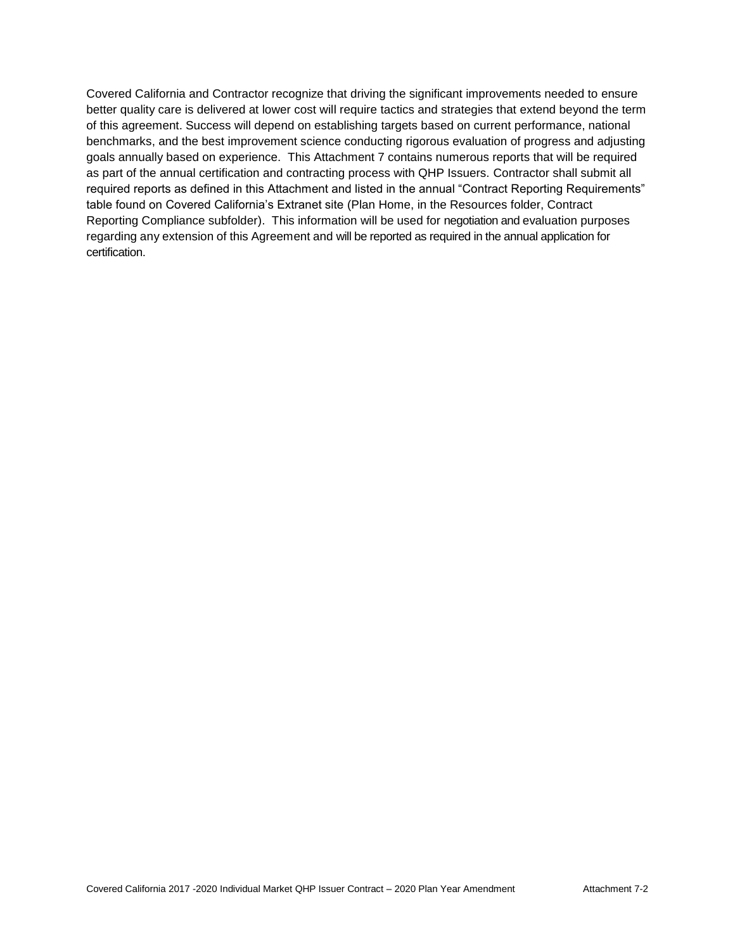Covered California and Contractor recognize that driving the significant improvements needed to ensure better quality care is delivered at lower cost will require tactics and strategies that extend beyond the term of this agreement. Success will depend on establishing targets based on current performance, national benchmarks, and the best improvement science conducting rigorous evaluation of progress and adjusting goals annually based on experience. This Attachment 7 contains numerous reports that will be required as part of the annual certification and contracting process with QHP Issuers. Contractor shall submit all required reports as defined in this Attachment and listed in the annual "Contract Reporting Requirements" table found on Covered California's Extranet site (Plan Home, in the Resources folder, Contract Reporting Compliance subfolder). This information will be used for negotiation and evaluation purposes regarding any extension of this Agreement and will be reported as required in the annual application for certification.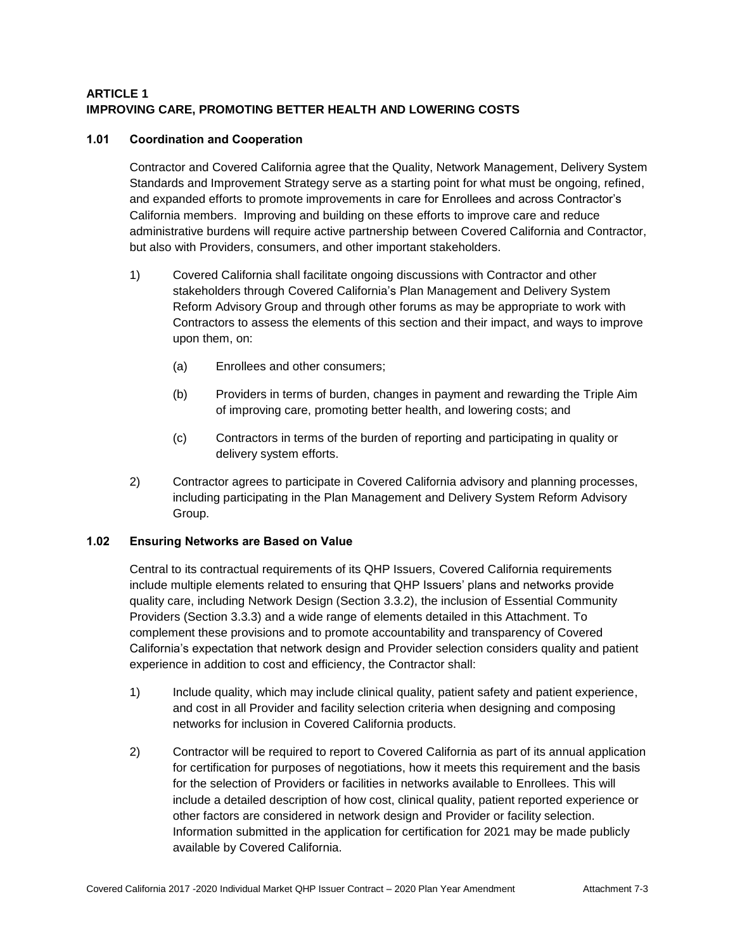# **ARTICLE 1 IMPROVING CARE, PROMOTING BETTER HEALTH AND LOWERING COSTS**

# **1.01 Coordination and Cooperation**

Contractor and Covered California agree that the Quality, Network Management, Delivery System Standards and Improvement Strategy serve as a starting point for what must be ongoing, refined, and expanded efforts to promote improvements in care for Enrollees and across Contractor's California members. Improving and building on these efforts to improve care and reduce administrative burdens will require active partnership between Covered California and Contractor, but also with Providers, consumers, and other important stakeholders.

- 1) Covered California shall facilitate ongoing discussions with Contractor and other stakeholders through Covered California's Plan Management and Delivery System Reform Advisory Group and through other forums as may be appropriate to work with Contractors to assess the elements of this section and their impact, and ways to improve upon them, on:
	- (a) Enrollees and other consumers;
	- (b) Providers in terms of burden, changes in payment and rewarding the Triple Aim of improving care, promoting better health, and lowering costs; and
	- (c) Contractors in terms of the burden of reporting and participating in quality or delivery system efforts.
- 2) Contractor agrees to participate in Covered California advisory and planning processes, including participating in the Plan Management and Delivery System Reform Advisory Group.

# **1.02 Ensuring Networks are Based on Value**

Central to its contractual requirements of its QHP Issuers, Covered California requirements include multiple elements related to ensuring that QHP Issuers' plans and networks provide quality care, including Network Design (Section 3.3.2), the inclusion of Essential Community Providers (Section 3.3.3) and a wide range of elements detailed in this Attachment. To complement these provisions and to promote accountability and transparency of Covered California's expectation that network design and Provider selection considers quality and patient experience in addition to cost and efficiency, the Contractor shall:

- 1) Include quality, which may include clinical quality, patient safety and patient experience, and cost in all Provider and facility selection criteria when designing and composing networks for inclusion in Covered California products.
- 2) Contractor will be required to report to Covered California as part of its annual application for certification for purposes of negotiations, how it meets this requirement and the basis for the selection of Providers or facilities in networks available to Enrollees. This will include a detailed description of how cost, clinical quality, patient reported experience or other factors are considered in network design and Provider or facility selection. Information submitted in the application for certification for 2021 may be made publicly available by Covered California.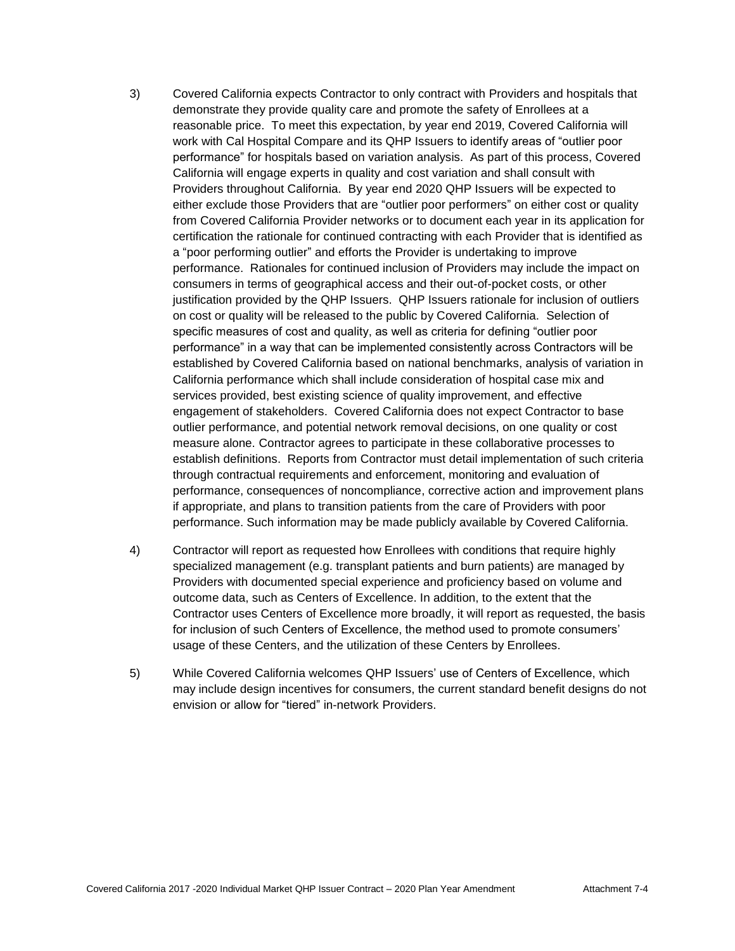- 3) Covered California expects Contractor to only contract with Providers and hospitals that demonstrate they provide quality care and promote the safety of Enrollees at a reasonable price. To meet this expectation, by year end 2019, Covered California will work with Cal Hospital Compare and its QHP Issuers to identify areas of "outlier poor performance" for hospitals based on variation analysis. As part of this process, Covered California will engage experts in quality and cost variation and shall consult with Providers throughout California. By year end 2020 QHP Issuers will be expected to either exclude those Providers that are "outlier poor performers" on either cost or quality from Covered California Provider networks or to document each year in its application for certification the rationale for continued contracting with each Provider that is identified as a "poor performing outlier" and efforts the Provider is undertaking to improve performance. Rationales for continued inclusion of Providers may include the impact on consumers in terms of geographical access and their out-of-pocket costs, or other justification provided by the QHP Issuers. QHP Issuers rationale for inclusion of outliers on cost or quality will be released to the public by Covered California. Selection of specific measures of cost and quality, as well as criteria for defining "outlier poor performance" in a way that can be implemented consistently across Contractors will be established by Covered California based on national benchmarks, analysis of variation in California performance which shall include consideration of hospital case mix and services provided, best existing science of quality improvement, and effective engagement of stakeholders. Covered California does not expect Contractor to base outlier performance, and potential network removal decisions, on one quality or cost measure alone. Contractor agrees to participate in these collaborative processes to establish definitions. Reports from Contractor must detail implementation of such criteria through contractual requirements and enforcement, monitoring and evaluation of performance, consequences of noncompliance, corrective action and improvement plans if appropriate, and plans to transition patients from the care of Providers with poor performance. Such information may be made publicly available by Covered California.
- 4) Contractor will report as requested how Enrollees with conditions that require highly specialized management (e.g. transplant patients and burn patients) are managed by Providers with documented special experience and proficiency based on volume and outcome data, such as Centers of Excellence. In addition, to the extent that the Contractor uses Centers of Excellence more broadly, it will report as requested, the basis for inclusion of such Centers of Excellence, the method used to promote consumers' usage of these Centers, and the utilization of these Centers by Enrollees.
- 5) While Covered California welcomes QHP Issuers' use of Centers of Excellence, which may include design incentives for consumers, the current standard benefit designs do not envision or allow for "tiered" in-network Providers.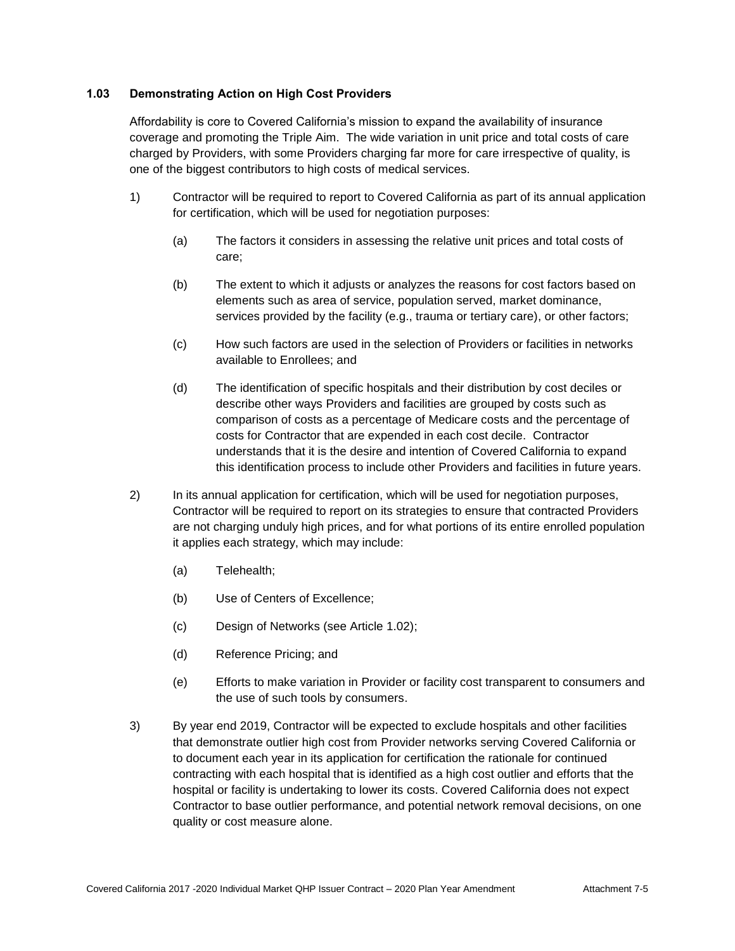# **1.03 Demonstrating Action on High Cost Providers**

Affordability is core to Covered California's mission to expand the availability of insurance coverage and promoting the Triple Aim. The wide variation in unit price and total costs of care charged by Providers, with some Providers charging far more for care irrespective of quality, is one of the biggest contributors to high costs of medical services.

- 1) Contractor will be required to report to Covered California as part of its annual application for certification, which will be used for negotiation purposes:
	- (a) The factors it considers in assessing the relative unit prices and total costs of care;
	- (b) The extent to which it adjusts or analyzes the reasons for cost factors based on elements such as area of service, population served, market dominance, services provided by the facility (e.g., trauma or tertiary care), or other factors;
	- (c) How such factors are used in the selection of Providers or facilities in networks available to Enrollees; and
	- (d) The identification of specific hospitals and their distribution by cost deciles or describe other ways Providers and facilities are grouped by costs such as comparison of costs as a percentage of Medicare costs and the percentage of costs for Contractor that are expended in each cost decile. Contractor understands that it is the desire and intention of Covered California to expand this identification process to include other Providers and facilities in future years.
- 2) In its annual application for certification, which will be used for negotiation purposes, Contractor will be required to report on its strategies to ensure that contracted Providers are not charging unduly high prices, and for what portions of its entire enrolled population it applies each strategy, which may include:
	- (a) Telehealth;
	- (b) Use of Centers of Excellence;
	- (c) Design of Networks (see Article 1.02);
	- (d) Reference Pricing; and
	- (e) Efforts to make variation in Provider or facility cost transparent to consumers and the use of such tools by consumers.
- 3) By year end 2019, Contractor will be expected to exclude hospitals and other facilities that demonstrate outlier high cost from Provider networks serving Covered California or to document each year in its application for certification the rationale for continued contracting with each hospital that is identified as a high cost outlier and efforts that the hospital or facility is undertaking to lower its costs. Covered California does not expect Contractor to base outlier performance, and potential network removal decisions, on one quality or cost measure alone.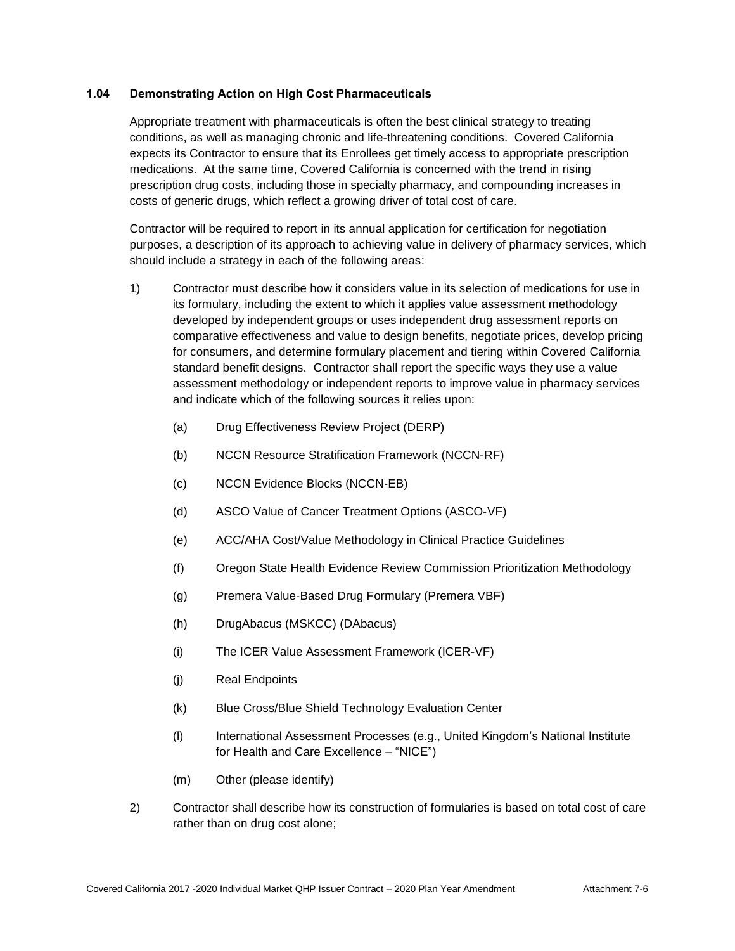# **1.04 Demonstrating Action on High Cost Pharmaceuticals**

Appropriate treatment with pharmaceuticals is often the best clinical strategy to treating conditions, as well as managing chronic and life-threatening conditions. Covered California expects its Contractor to ensure that its Enrollees get timely access to appropriate prescription medications. At the same time, Covered California is concerned with the trend in rising prescription drug costs, including those in specialty pharmacy, and compounding increases in costs of generic drugs, which reflect a growing driver of total cost of care.

Contractor will be required to report in its annual application for certification for negotiation purposes, a description of its approach to achieving value in delivery of pharmacy services, which should include a strategy in each of the following areas:

- 1) Contractor must describe how it considers value in its selection of medications for use in its formulary, including the extent to which it applies value assessment methodology developed by independent groups or uses independent drug assessment reports on comparative effectiveness and value to design benefits, negotiate prices, develop pricing for consumers, and determine formulary placement and tiering within Covered California standard benefit designs. Contractor shall report the specific ways they use a value assessment methodology or independent reports to improve value in pharmacy services and indicate which of the following sources it relies upon:
	- (a) Drug Effectiveness Review Project (DERP)
	- (b) NCCN Resource Stratification Framework (NCCN‐RF)
	- (c) NCCN Evidence Blocks (NCCN‐EB)
	- (d) ASCO Value of Cancer Treatment Options (ASCO‐VF)
	- (e) ACC/AHA Cost/Value Methodology in Clinical Practice Guidelines
	- (f) Oregon State Health Evidence Review Commission Prioritization Methodology
	- (g) Premera Value‐Based Drug Formulary (Premera VBF)
	- (h) DrugAbacus (MSKCC) (DAbacus)
	- (i) The ICER Value Assessment Framework (ICER‐VF)
	- (j) Real Endpoints
	- (k) Blue Cross/Blue Shield Technology Evaluation Center
	- (l) International Assessment Processes (e.g., United Kingdom's National Institute for Health and Care Excellence – "NICE")
	- (m) Other (please identify)
- 2) Contractor shall describe how its construction of formularies is based on total cost of care rather than on drug cost alone;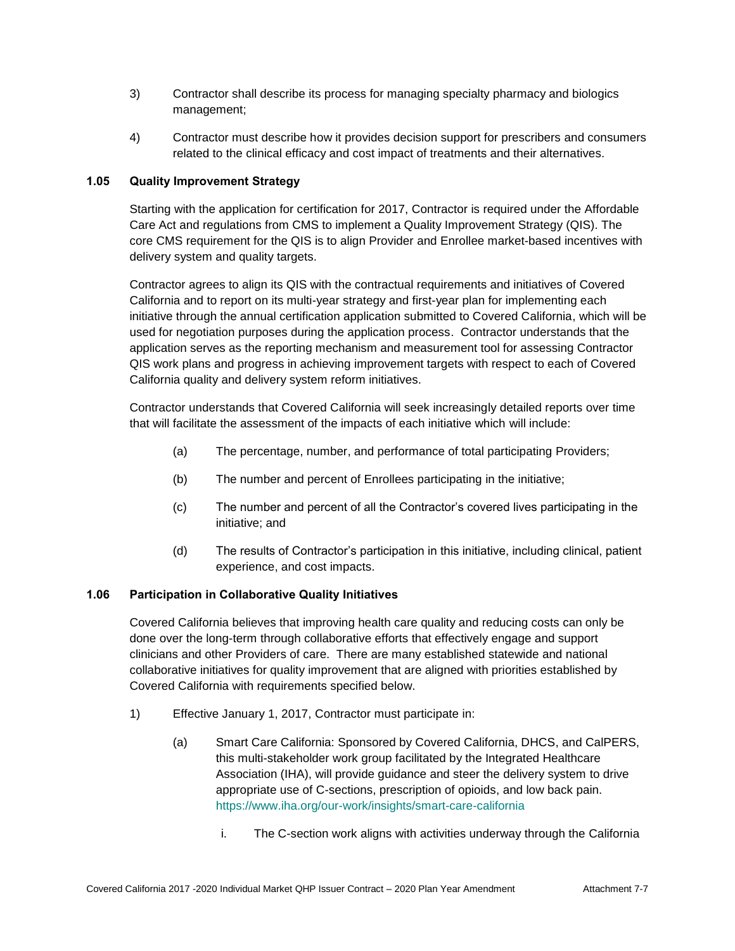- 3) Contractor shall describe its process for managing specialty pharmacy and biologics management;
- 4) Contractor must describe how it provides decision support for prescribers and consumers related to the clinical efficacy and cost impact of treatments and their alternatives.

# **1.05 Quality Improvement Strategy**

Starting with the application for certification for 2017, Contractor is required under the Affordable Care Act and regulations from CMS to implement a Quality Improvement Strategy (QIS). The core CMS requirement for the QIS is to align Provider and Enrollee market-based incentives with delivery system and quality targets.

Contractor agrees to align its QIS with the contractual requirements and initiatives of Covered California and to report on its multi-year strategy and first-year plan for implementing each initiative through the annual certification application submitted to Covered California, which will be used for negotiation purposes during the application process. Contractor understands that the application serves as the reporting mechanism and measurement tool for assessing Contractor QIS work plans and progress in achieving improvement targets with respect to each of Covered California quality and delivery system reform initiatives.

Contractor understands that Covered California will seek increasingly detailed reports over time that will facilitate the assessment of the impacts of each initiative which will include:

- (a) The percentage, number, and performance of total participating Providers;
- (b) The number and percent of Enrollees participating in the initiative;
- (c) The number and percent of all the Contractor's covered lives participating in the initiative; and
- (d) The results of Contractor's participation in this initiative, including clinical, patient experience, and cost impacts.

# **1.06 Participation in Collaborative Quality Initiatives**

Covered California believes that improving health care quality and reducing costs can only be done over the long-term through collaborative efforts that effectively engage and support clinicians and other Providers of care. There are many established statewide and national collaborative initiatives for quality improvement that are aligned with priorities established by Covered California with requirements specified below.

- 1) Effective January 1, 2017, Contractor must participate in:
	- (a) Smart Care California: Sponsored by Covered California, DHCS, and CalPERS, this multi-stakeholder work group facilitated by the Integrated Healthcare Association (IHA), will provide guidance and steer the delivery system to drive appropriate use of C-sections, prescription of opioids, and low back pain. <https://www.iha.org/our-work/insights/smart-care-california>
		- i. The C-section work aligns with activities underway through the California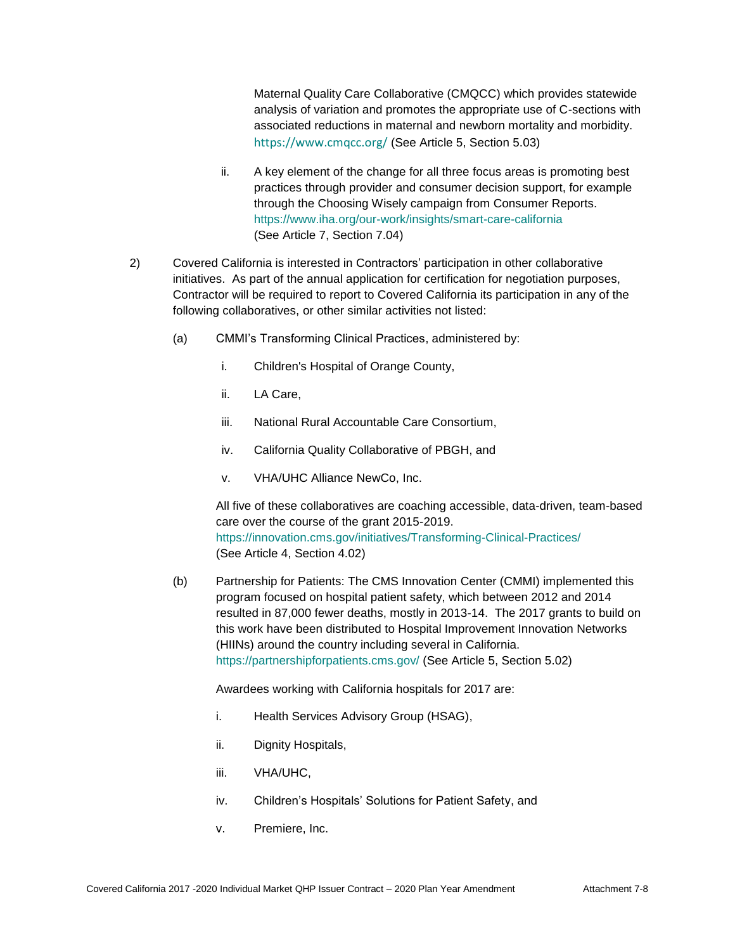Maternal Quality Care Collaborative (CMQCC) which provides statewide analysis of variation and promotes the appropriate use of C-sections with associated reductions in maternal and newborn mortality and morbidity. <https://www.cmqcc.org/> (See Article 5, Section 5.03)

- ii. A key element of the change for all three focus areas is promoting best practices through provider and consumer decision support, for example through the Choosing Wisely campaign from Consumer Reports. [https://www.iha.org/our-work/insights/smart-care-california](https://gcc01.safelinks.protection.outlook.com/?url=https%3A%2F%2Fwww.iha.org%2Four-work%2Finsights%2Fsmart-care-california&data=02%7C01%7CLisa.Schenck%40covered.ca.gov%7C8ba96e6deb3d4505e27708d6be105606%7C466d2f7db1424b9c8cddeba5537a0f27%7C0%7C0%7C636905374708798426&sdata=OtXQW7PKefhzwOUQcyFTyh85xBruzs8OVyE49%2BV2yUs%3D&reserved=0) (See Article 7, Section 7.04)
- 2) Covered California is interested in Contractors' participation in other collaborative initiatives. As part of the annual application for certification for negotiation purposes, Contractor will be required to report to Covered California its participation in any of the following collaboratives, or other similar activities not listed:
	- (a) CMMI's Transforming Clinical Practices, administered by:
		- i. Children's Hospital of Orange County,
		- ii. LA Care,
		- iii. National Rural Accountable Care Consortium,
		- iv. California Quality Collaborative of PBGH, and
		- v. VHA/UHC Alliance NewCo, Inc.

All five of these collaboratives are coaching accessible, data-driven, team-based care over the course of the grant 2015-2019. <https://innovation.cms.gov/initiatives/Transforming-Clinical-Practices/> (See Article 4, Section 4.02)

(b) Partnership for Patients: The CMS Innovation Center (CMMI) implemented this program focused on hospital patient safety, which between 2012 and 2014 resulted in 87,000 fewer deaths, mostly in 2013-14. The 2017 grants to build on this work have been distributed to Hospital Improvement Innovation Networks (HIINs) around the country including several in California. <https://partnershipforpatients.cms.gov/> (See Article 5, Section 5.02)

Awardees working with California hospitals for 2017 are:

- i. Health Services Advisory Group (HSAG),
- ii. Dignity Hospitals,
- iii. VHA/UHC,
- iv. Children's Hospitals' Solutions for Patient Safety, and
- v. Premiere, Inc.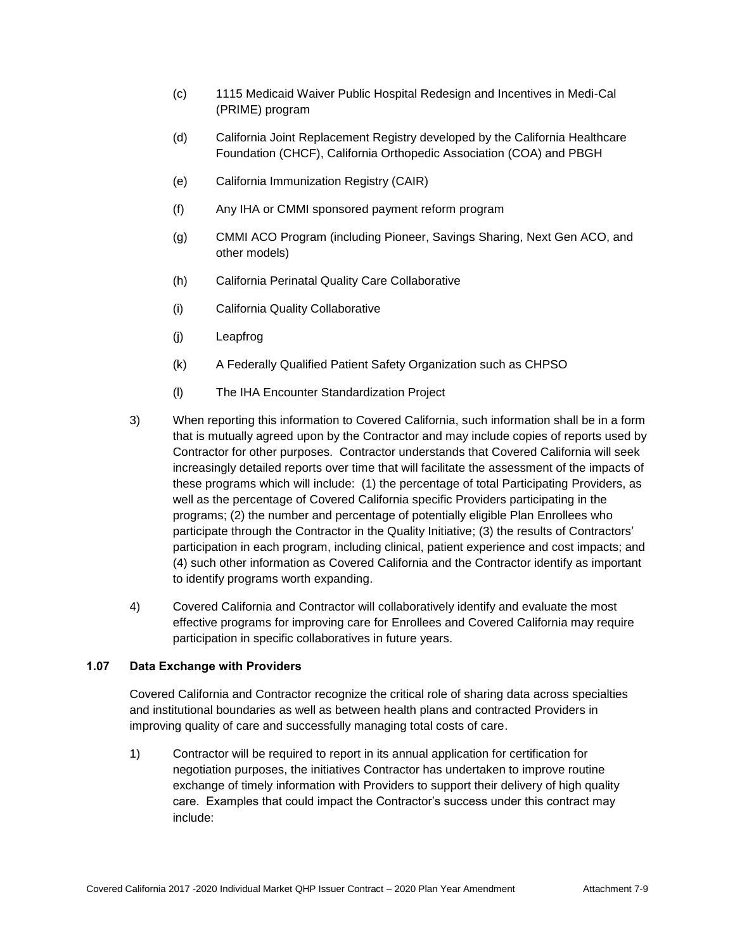- (c) 1115 Medicaid Waiver Public Hospital Redesign and Incentives in Medi-Cal (PRIME) program
- (d) California Joint Replacement Registry developed by the California Healthcare Foundation (CHCF), California Orthopedic Association (COA) and PBGH
- (e) California Immunization Registry (CAIR)
- (f) Any IHA or CMMI sponsored payment reform program
- (g) CMMI ACO Program (including Pioneer, Savings Sharing, Next Gen ACO, and other models)
- (h) California Perinatal Quality Care Collaborative
- (i) California Quality Collaborative
- (j) Leapfrog
- (k) A Federally Qualified Patient Safety Organization such as CHPSO
- (l) The IHA Encounter Standardization Project
- 3) When reporting this information to Covered California, such information shall be in a form that is mutually agreed upon by the Contractor and may include copies of reports used by Contractor for other purposes. Contractor understands that Covered California will seek increasingly detailed reports over time that will facilitate the assessment of the impacts of these programs which will include: (1) the percentage of total Participating Providers, as well as the percentage of Covered California specific Providers participating in the programs; (2) the number and percentage of potentially eligible Plan Enrollees who participate through the Contractor in the Quality Initiative; (3) the results of Contractors' participation in each program, including clinical, patient experience and cost impacts; and (4) such other information as Covered California and the Contractor identify as important to identify programs worth expanding.
- 4) Covered California and Contractor will collaboratively identify and evaluate the most effective programs for improving care for Enrollees and Covered California may require participation in specific collaboratives in future years.

# **1.07 Data Exchange with Providers**

Covered California and Contractor recognize the critical role of sharing data across specialties and institutional boundaries as well as between health plans and contracted Providers in improving quality of care and successfully managing total costs of care.

1) Contractor will be required to report in its annual application for certification for negotiation purposes, the initiatives Contractor has undertaken to improve routine exchange of timely information with Providers to support their delivery of high quality care. Examples that could impact the Contractor's success under this contract may include: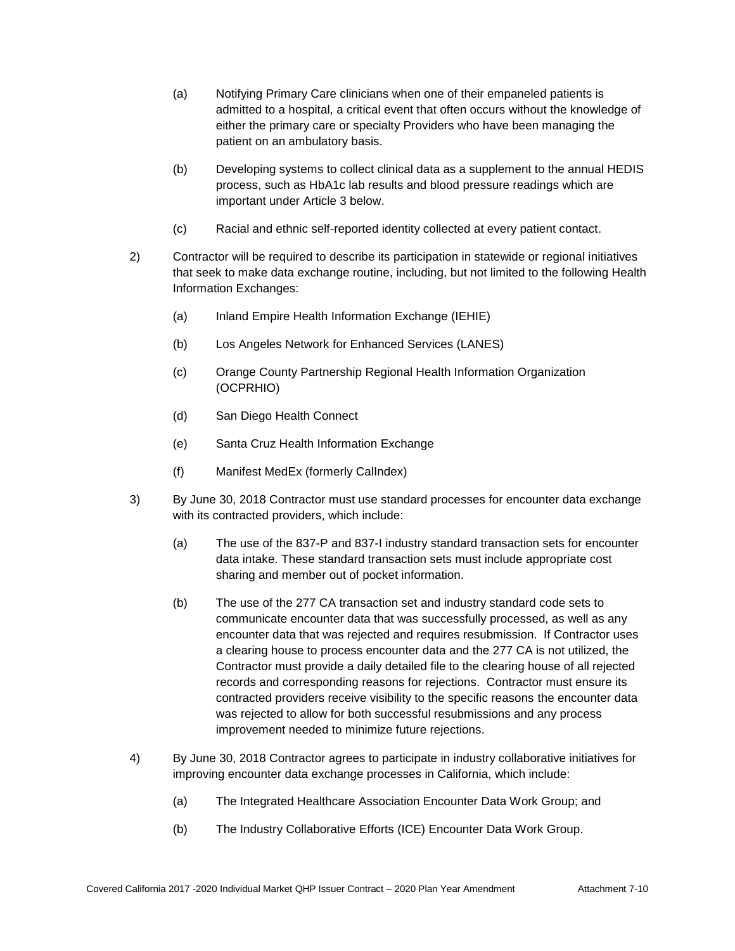- (a) Notifying Primary Care clinicians when one of their empaneled patients is admitted to a hospital, a critical event that often occurs without the knowledge of either the primary care or specialty Providers who have been managing the patient on an ambulatory basis.
- (b) Developing systems to collect clinical data as a supplement to the annual HEDIS process, such as HbA1c lab results and blood pressure readings which are important under Article 3 below.
- (c) Racial and ethnic self-reported identity collected at every patient contact.
- 2) Contractor will be required to describe its participation in statewide or regional initiatives that seek to make data exchange routine, including, but not limited to the following Health Information Exchanges:
	- (a) Inland Empire Health Information Exchange (IEHIE)
	- (b) Los Angeles Network for Enhanced Services (LANES)
	- (c) Orange County Partnership Regional Health Information Organization (OCPRHIO)
	- (d) San Diego Health Connect
	- (e) Santa Cruz Health Information Exchange
	- (f) Manifest MedEx (formerly CalIndex)
- 3) By June 30, 2018 Contractor must use standard processes for encounter data exchange with its contracted providers, which include:
	- (a) The use of the 837-P and 837-I industry standard transaction sets for encounter data intake. These standard transaction sets must include appropriate cost sharing and member out of pocket information.
	- (b) The use of the 277 CA transaction set and industry standard code sets to communicate encounter data that was successfully processed, as well as any encounter data that was rejected and requires resubmission. If Contractor uses a clearing house to process encounter data and the 277 CA is not utilized, the Contractor must provide a daily detailed file to the clearing house of all rejected records and corresponding reasons for rejections. Contractor must ensure its contracted providers receive visibility to the specific reasons the encounter data was rejected to allow for both successful resubmissions and any process improvement needed to minimize future rejections.
- 4) By June 30, 2018 Contractor agrees to participate in industry collaborative initiatives for improving encounter data exchange processes in California, which include:
	- (a) The Integrated Healthcare Association Encounter Data Work Group; and
	- (b) The Industry Collaborative Efforts (ICE) Encounter Data Work Group.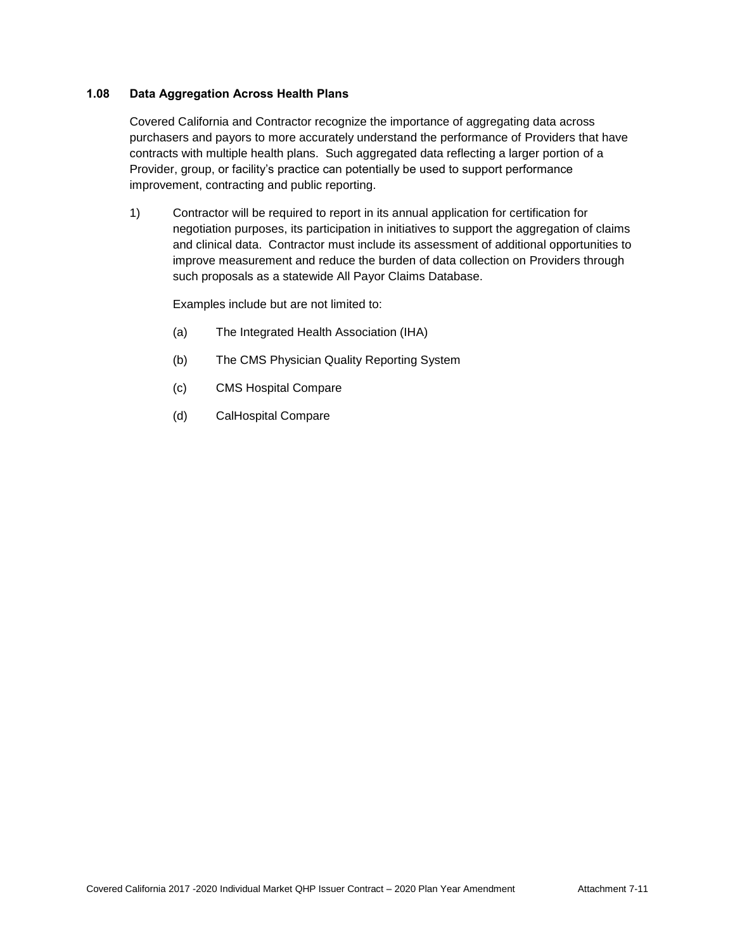# **1.08 Data Aggregation Across Health Plans**

Covered California and Contractor recognize the importance of aggregating data across purchasers and payors to more accurately understand the performance of Providers that have contracts with multiple health plans. Such aggregated data reflecting a larger portion of a Provider, group, or facility's practice can potentially be used to support performance improvement, contracting and public reporting.

1) Contractor will be required to report in its annual application for certification for negotiation purposes, its participation in initiatives to support the aggregation of claims and clinical data. Contractor must include its assessment of additional opportunities to improve measurement and reduce the burden of data collection on Providers through such proposals as a statewide All Payor Claims Database.

Examples include but are not limited to:

- (a) The Integrated Health Association (IHA)
- (b) The CMS Physician Quality Reporting System
- (c) CMS Hospital Compare
- (d) CalHospital Compare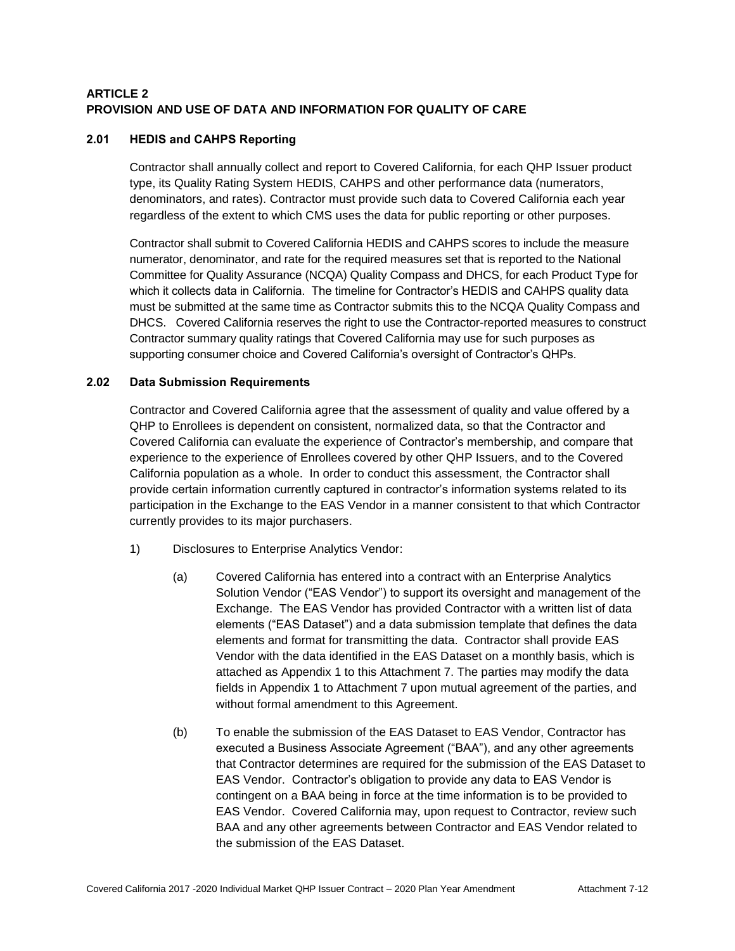# **ARTICLE 2 PROVISION AND USE OF DATA AND INFORMATION FOR QUALITY OF CARE**

# **2.01 HEDIS and CAHPS Reporting**

Contractor shall annually collect and report to Covered California, for each QHP Issuer product type, its Quality Rating System HEDIS, CAHPS and other performance data (numerators, denominators, and rates). Contractor must provide such data to Covered California each year regardless of the extent to which CMS uses the data for public reporting or other purposes.

Contractor shall submit to Covered California HEDIS and CAHPS scores to include the measure numerator, denominator, and rate for the required measures set that is reported to the National Committee for Quality Assurance (NCQA) Quality Compass and DHCS, for each Product Type for which it collects data in California. The timeline for Contractor's HEDIS and CAHPS quality data must be submitted at the same time as Contractor submits this to the NCQA Quality Compass and DHCS. Covered California reserves the right to use the Contractor-reported measures to construct Contractor summary quality ratings that Covered California may use for such purposes as supporting consumer choice and Covered California's oversight of Contractor's QHPs.

# **2.02 Data Submission Requirements**

Contractor and Covered California agree that the assessment of quality and value offered by a QHP to Enrollees is dependent on consistent, normalized data, so that the Contractor and Covered California can evaluate the experience of Contractor's membership, and compare that experience to the experience of Enrollees covered by other QHP Issuers, and to the Covered California population as a whole. In order to conduct this assessment, the Contractor shall provide certain information currently captured in contractor's information systems related to its participation in the Exchange to the EAS Vendor in a manner consistent to that which Contractor currently provides to its major purchasers.

- 1) Disclosures to Enterprise Analytics Vendor:
	- (a) Covered California has entered into a contract with an Enterprise Analytics Solution Vendor ("EAS Vendor") to support its oversight and management of the Exchange. The EAS Vendor has provided Contractor with a written list of data elements ("EAS Dataset") and a data submission template that defines the data elements and format for transmitting the data. Contractor shall provide EAS Vendor with the data identified in the EAS Dataset on a monthly basis, which is attached as Appendix 1 to this Attachment 7. The parties may modify the data fields in Appendix 1 to Attachment 7 upon mutual agreement of the parties, and without formal amendment to this Agreement.
	- (b) To enable the submission of the EAS Dataset to EAS Vendor, Contractor has executed a Business Associate Agreement ("BAA"), and any other agreements that Contractor determines are required for the submission of the EAS Dataset to EAS Vendor. Contractor's obligation to provide any data to EAS Vendor is contingent on a BAA being in force at the time information is to be provided to EAS Vendor. Covered California may, upon request to Contractor, review such BAA and any other agreements between Contractor and EAS Vendor related to the submission of the EAS Dataset.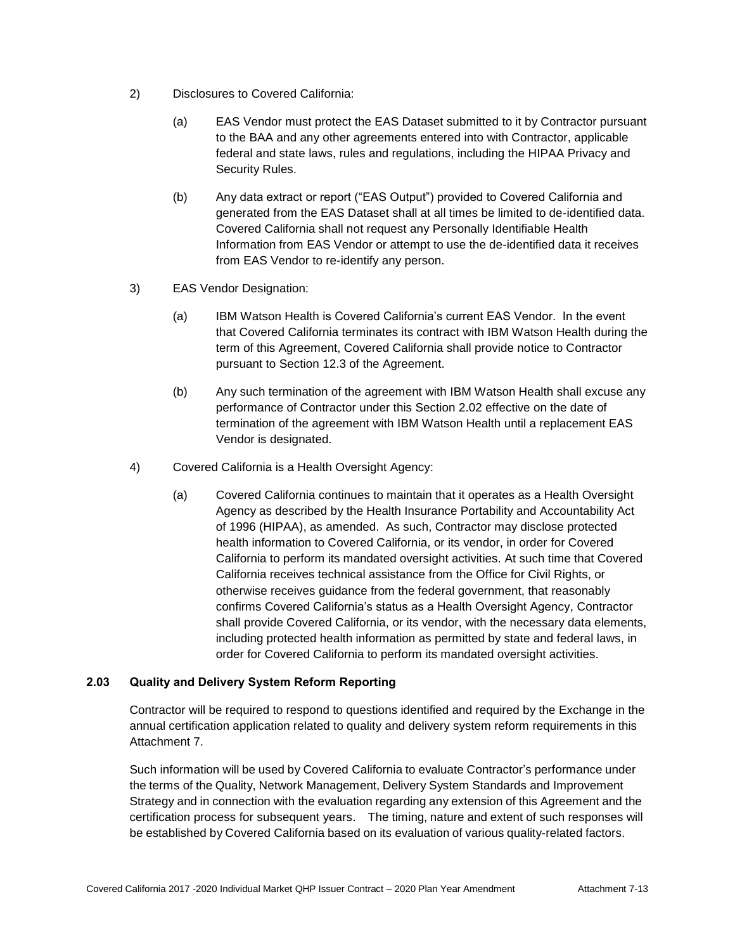- 2) Disclosures to Covered California:
	- (a) EAS Vendor must protect the EAS Dataset submitted to it by Contractor pursuant to the BAA and any other agreements entered into with Contractor, applicable federal and state laws, rules and regulations, including the HIPAA Privacy and Security Rules.
	- (b) Any data extract or report ("EAS Output") provided to Covered California and generated from the EAS Dataset shall at all times be limited to de-identified data. Covered California shall not request any Personally Identifiable Health Information from EAS Vendor or attempt to use the de-identified data it receives from EAS Vendor to re-identify any person.
- 3) EAS Vendor Designation:
	- (a) IBM Watson Health is Covered California's current EAS Vendor. In the event that Covered California terminates its contract with IBM Watson Health during the term of this Agreement, Covered California shall provide notice to Contractor pursuant to Section 12.3 of the Agreement.
	- (b) Any such termination of the agreement with IBM Watson Health shall excuse any performance of Contractor under this Section 2.02 effective on the date of termination of the agreement with IBM Watson Health until a replacement EAS Vendor is designated.
- 4) Covered California is a Health Oversight Agency:
	- (a) Covered California continues to maintain that it operates as a Health Oversight Agency as described by the Health Insurance Portability and Accountability Act of 1996 (HIPAA), as amended. As such, Contractor may disclose protected health information to Covered California, or its vendor, in order for Covered California to perform its mandated oversight activities. At such time that Covered California receives technical assistance from the Office for Civil Rights, or otherwise receives guidance from the federal government, that reasonably confirms Covered California's status as a Health Oversight Agency, Contractor shall provide Covered California, or its vendor, with the necessary data elements, including protected health information as permitted by state and federal laws, in order for Covered California to perform its mandated oversight activities.

#### **2.03 Quality and Delivery System Reform Reporting**

Contractor will be required to respond to questions identified and required by the Exchange in the annual certification application related to quality and delivery system reform requirements in this Attachment 7.

Such information will be used by Covered California to evaluate Contractor's performance under the terms of the Quality, Network Management, Delivery System Standards and Improvement Strategy and in connection with the evaluation regarding any extension of this Agreement and the certification process for subsequent years. The timing, nature and extent of such responses will be established by Covered California based on its evaluation of various quality-related factors.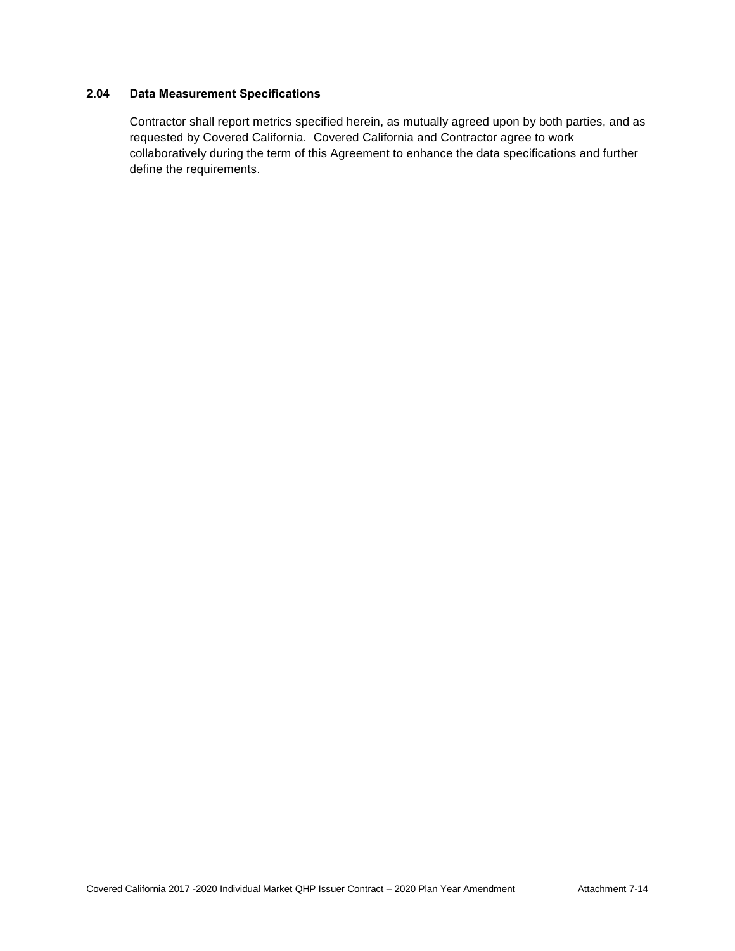# **2.04 Data Measurement Specifications**

Contractor shall report metrics specified herein, as mutually agreed upon by both parties, and as requested by Covered California. Covered California and Contractor agree to work collaboratively during the term of this Agreement to enhance the data specifications and further define the requirements.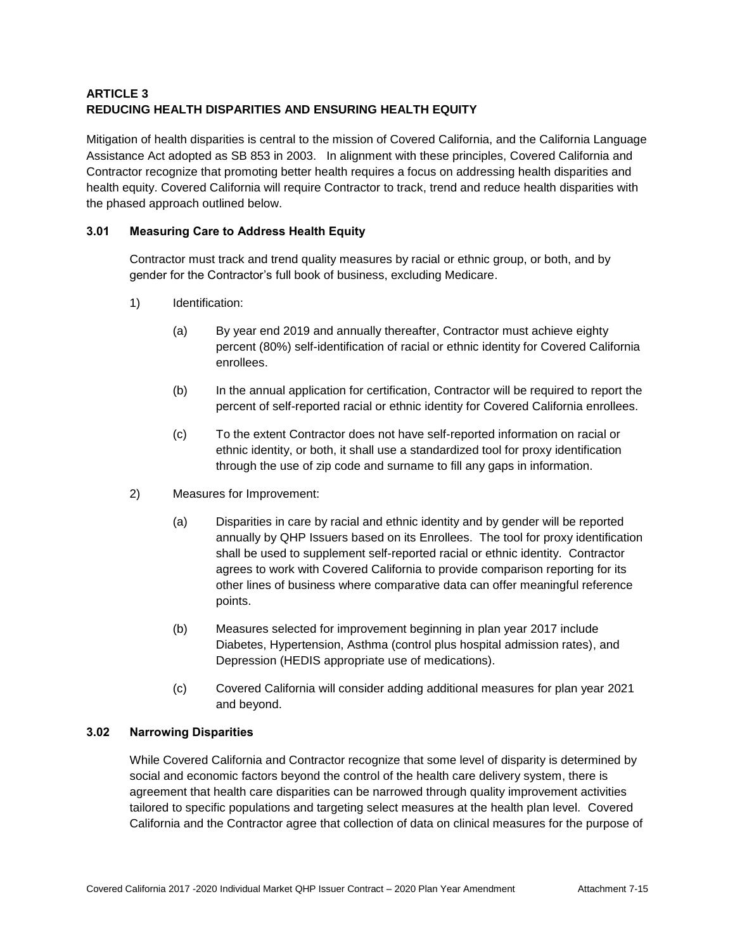# **ARTICLE 3 REDUCING HEALTH DISPARITIES AND ENSURING HEALTH EQUITY**

Mitigation of health disparities is central to the mission of Covered California, and the California Language Assistance Act adopted as SB 853 in 2003. In alignment with these principles, Covered California and Contractor recognize that promoting better health requires a focus on addressing health disparities and health equity. Covered California will require Contractor to track, trend and reduce health disparities with the phased approach outlined below.

# **3.01 Measuring Care to Address Health Equity**

Contractor must track and trend quality measures by racial or ethnic group, or both, and by gender for the Contractor's full book of business, excluding Medicare.

- 1) Identification:
	- (a) By year end 2019 and annually thereafter, Contractor must achieve eighty percent (80%) self-identification of racial or ethnic identity for Covered California enrollees.
	- (b) In the annual application for certification, Contractor will be required to report the percent of self-reported racial or ethnic identity for Covered California enrollees.
	- (c) To the extent Contractor does not have self-reported information on racial or ethnic identity, or both, it shall use a standardized tool for proxy identification through the use of zip code and surname to fill any gaps in information.
- 2) Measures for Improvement:
	- (a) Disparities in care by racial and ethnic identity and by gender will be reported annually by QHP Issuers based on its Enrollees. The tool for proxy identification shall be used to supplement self-reported racial or ethnic identity. Contractor agrees to work with Covered California to provide comparison reporting for its other lines of business where comparative data can offer meaningful reference points.
	- (b) Measures selected for improvement beginning in plan year 2017 include Diabetes, Hypertension, Asthma (control plus hospital admission rates), and Depression (HEDIS appropriate use of medications).
	- (c) Covered California will consider adding additional measures for plan year 2021 and beyond.

#### **3.02 Narrowing Disparities**

While Covered California and Contractor recognize that some level of disparity is determined by social and economic factors beyond the control of the health care delivery system, there is agreement that health care disparities can be narrowed through quality improvement activities tailored to specific populations and targeting select measures at the health plan level. Covered California and the Contractor agree that collection of data on clinical measures for the purpose of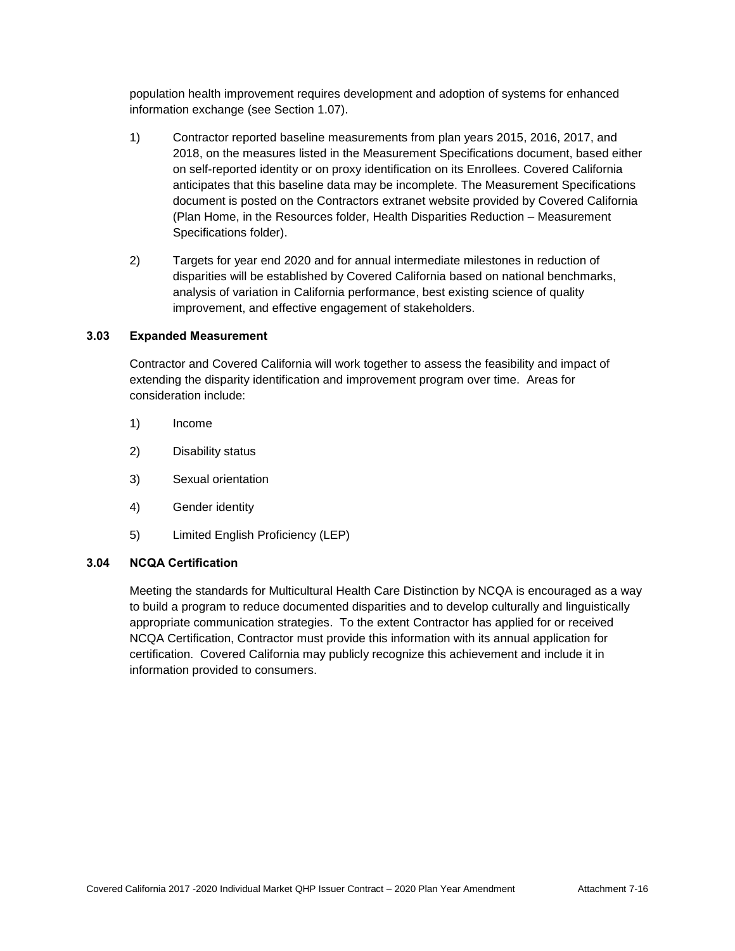population health improvement requires development and adoption of systems for enhanced information exchange (see Section 1.07).

- 1) Contractor reported baseline measurements from plan years 2015, 2016, 2017, and 2018, on the measures listed in the Measurement Specifications document, based either on self-reported identity or on proxy identification on its Enrollees. Covered California anticipates that this baseline data may be incomplete. The Measurement Specifications document is posted on the Contractors extranet website provided by Covered California (Plan Home, in the Resources folder, Health Disparities Reduction – Measurement Specifications folder).
- 2) Targets for year end 2020 and for annual intermediate milestones in reduction of disparities will be established by Covered California based on national benchmarks, analysis of variation in California performance, best existing science of quality improvement, and effective engagement of stakeholders.

# **3.03 Expanded Measurement**

Contractor and Covered California will work together to assess the feasibility and impact of extending the disparity identification and improvement program over time. Areas for consideration include:

- 1) Income
- 2) Disability status
- 3) Sexual orientation
- 4) Gender identity
- 5) Limited English Proficiency (LEP)

#### **3.04 NCQA Certification**

Meeting the standards for Multicultural Health Care Distinction by NCQA is encouraged as a way to build a program to reduce documented disparities and to develop culturally and linguistically appropriate communication strategies. To the extent Contractor has applied for or received NCQA Certification, Contractor must provide this information with its annual application for certification. Covered California may publicly recognize this achievement and include it in information provided to consumers.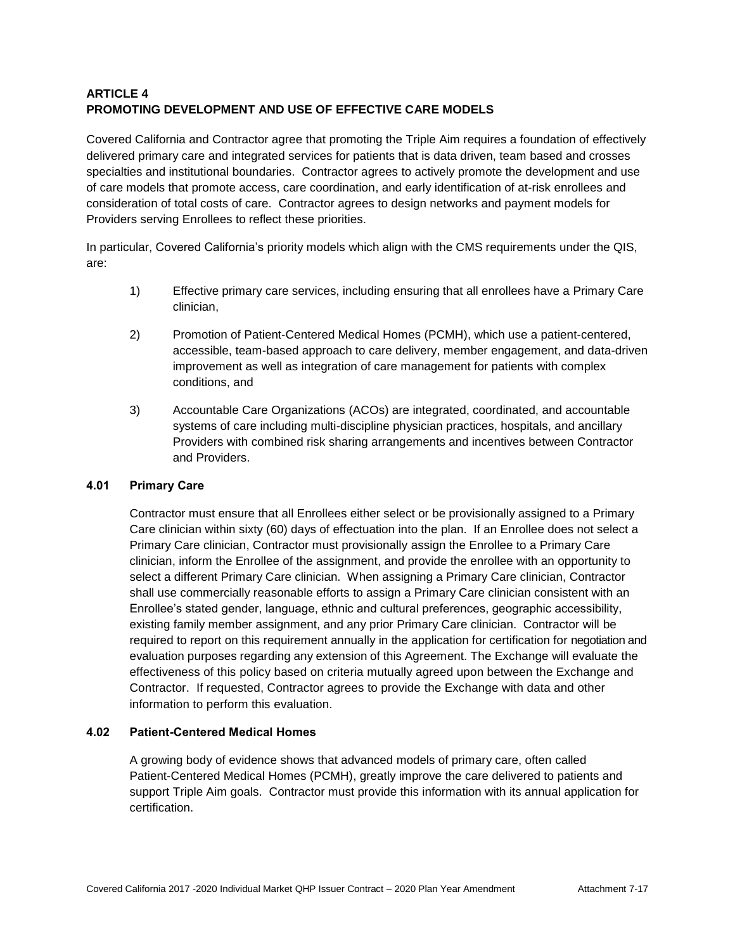# **ARTICLE 4 PROMOTING DEVELOPMENT AND USE OF EFFECTIVE CARE MODELS**

Covered California and Contractor agree that promoting the Triple Aim requires a foundation of effectively delivered primary care and integrated services for patients that is data driven, team based and crosses specialties and institutional boundaries. Contractor agrees to actively promote the development and use of care models that promote access, care coordination, and early identification of at-risk enrollees and consideration of total costs of care. Contractor agrees to design networks and payment models for Providers serving Enrollees to reflect these priorities.

In particular, Covered California's priority models which align with the CMS requirements under the QIS, are:

- 1) Effective primary care services, including ensuring that all enrollees have a Primary Care clinician,
- 2) Promotion of Patient-Centered Medical Homes (PCMH), which use a patient-centered, accessible, team-based approach to care delivery, member engagement, and data-driven improvement as well as integration of care management for patients with complex conditions, and
- 3) Accountable Care Organizations (ACOs) are integrated, coordinated, and accountable systems of care including multi-discipline physician practices, hospitals, and ancillary Providers with combined risk sharing arrangements and incentives between Contractor and Providers.

# **4.01 Primary Care**

Contractor must ensure that all Enrollees either select or be provisionally assigned to a Primary Care clinician within sixty (60) days of effectuation into the plan. If an Enrollee does not select a Primary Care clinician, Contractor must provisionally assign the Enrollee to a Primary Care clinician, inform the Enrollee of the assignment, and provide the enrollee with an opportunity to select a different Primary Care clinician. When assigning a Primary Care clinician, Contractor shall use commercially reasonable efforts to assign a Primary Care clinician consistent with an Enrollee's stated gender, language, ethnic and cultural preferences, geographic accessibility, existing family member assignment, and any prior Primary Care clinician. Contractor will be required to report on this requirement annually in the application for certification for negotiation and evaluation purposes regarding any extension of this Agreement. The Exchange will evaluate the effectiveness of this policy based on criteria mutually agreed upon between the Exchange and Contractor. If requested, Contractor agrees to provide the Exchange with data and other information to perform this evaluation.

# **4.02 Patient-Centered Medical Homes**

A growing body of evidence shows that advanced models of primary care, often called Patient-Centered Medical Homes (PCMH), greatly improve the care delivered to patients and support Triple Aim goals. Contractor must provide this information with its annual application for certification.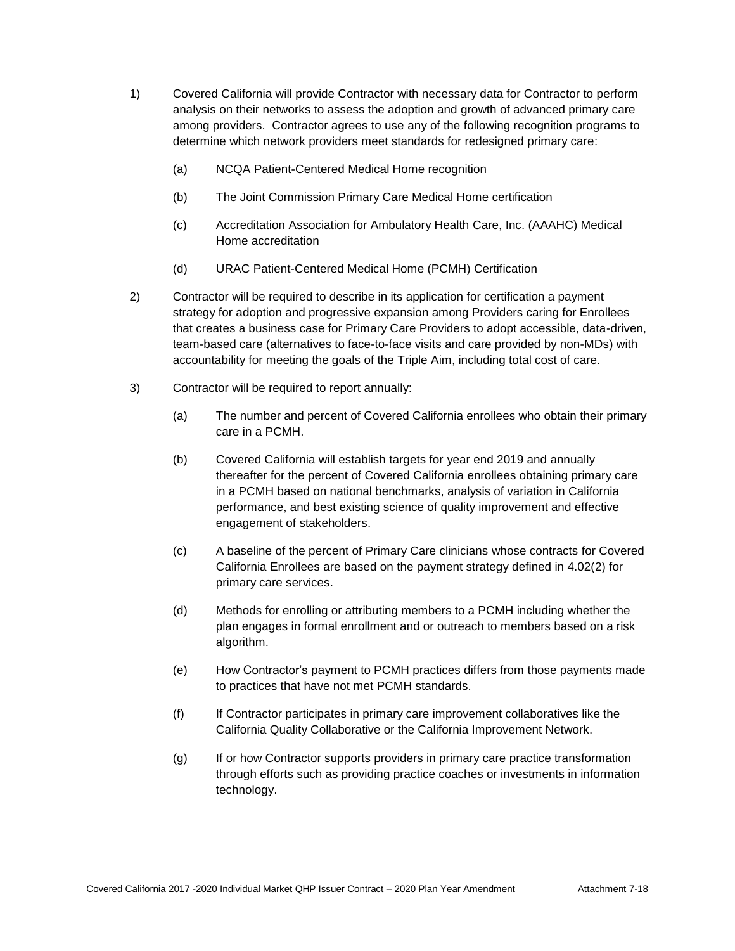- 1) Covered California will provide Contractor with necessary data for Contractor to perform analysis on their networks to assess the adoption and growth of advanced primary care among providers. Contractor agrees to use any of the following recognition programs to determine which network providers meet standards for redesigned primary care:
	- (a) NCQA Patient-Centered Medical Home recognition
	- (b) The Joint Commission Primary Care Medical Home certification
	- (c) Accreditation Association for Ambulatory Health Care, Inc. (AAAHC) Medical Home accreditation
	- (d) URAC Patient-Centered Medical Home (PCMH) Certification
- 2) Contractor will be required to describe in its application for certification a payment strategy for adoption and progressive expansion among Providers caring for Enrollees that creates a business case for Primary Care Providers to adopt accessible, data-driven, team-based care (alternatives to face-to-face visits and care provided by non-MDs) with accountability for meeting the goals of the Triple Aim, including total cost of care.
- 3) Contractor will be required to report annually:
	- (a) The number and percent of Covered California enrollees who obtain their primary care in a PCMH.
	- (b) Covered California will establish targets for year end 2019 and annually thereafter for the percent of Covered California enrollees obtaining primary care in a PCMH based on national benchmarks, analysis of variation in California performance, and best existing science of quality improvement and effective engagement of stakeholders.
	- (c) A baseline of the percent of Primary Care clinicians whose contracts for Covered California Enrollees are based on the payment strategy defined in 4.02(2) for primary care services.
	- (d) Methods for enrolling or attributing members to a PCMH including whether the plan engages in formal enrollment and or outreach to members based on a risk algorithm.
	- (e) How Contractor's payment to PCMH practices differs from those payments made to practices that have not met PCMH standards.
	- (f) If Contractor participates in primary care improvement collaboratives like the California Quality Collaborative or the California Improvement Network.
	- (g) If or how Contractor supports providers in primary care practice transformation through efforts such as providing practice coaches or investments in information technology.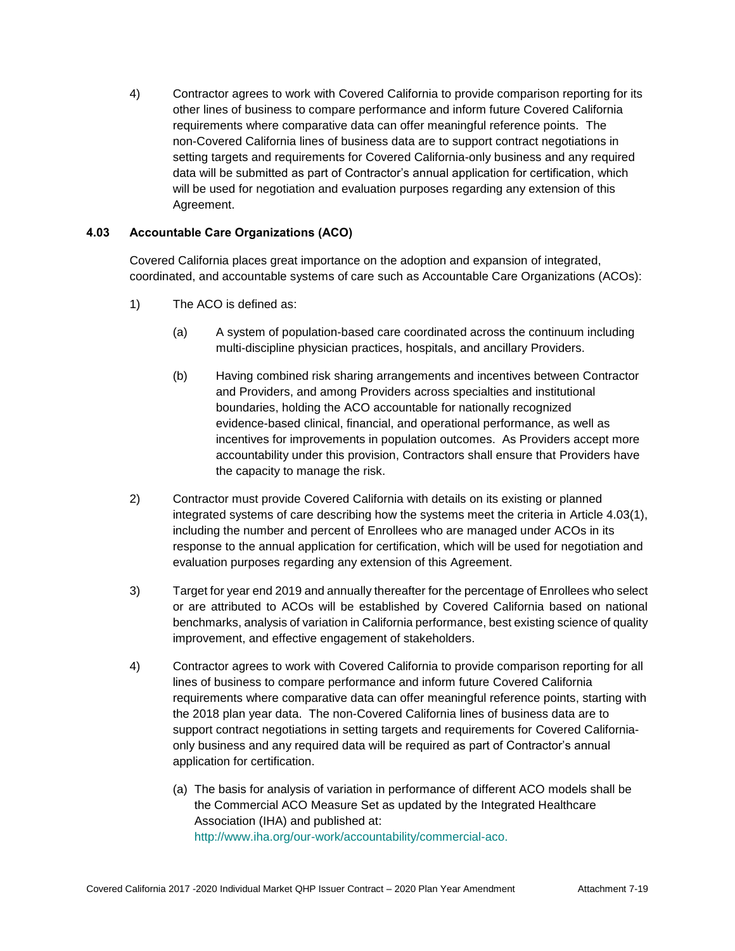4) Contractor agrees to work with Covered California to provide comparison reporting for its other lines of business to compare performance and inform future Covered California requirements where comparative data can offer meaningful reference points. The non-Covered California lines of business data are to support contract negotiations in setting targets and requirements for Covered California-only business and any required data will be submitted as part of Contractor's annual application for certification, which will be used for negotiation and evaluation purposes regarding any extension of this Agreement.

# **4.03 Accountable Care Organizations (ACO)**

Covered California places great importance on the adoption and expansion of integrated, coordinated, and accountable systems of care such as Accountable Care Organizations (ACOs):

- 1) The ACO is defined as:
	- (a) A system of population-based care coordinated across the continuum including multi-discipline physician practices, hospitals, and ancillary Providers.
	- (b) Having combined risk sharing arrangements and incentives between Contractor and Providers, and among Providers across specialties and institutional boundaries, holding the ACO accountable for nationally recognized evidence-based clinical, financial, and operational performance, as well as incentives for improvements in population outcomes. As Providers accept more accountability under this provision, Contractors shall ensure that Providers have the capacity to manage the risk.
- 2) Contractor must provide Covered California with details on its existing or planned integrated systems of care describing how the systems meet the criteria in Article 4.03(1), including the number and percent of Enrollees who are managed under ACOs in its response to the annual application for certification, which will be used for negotiation and evaluation purposes regarding any extension of this Agreement.
- 3) Target for year end 2019 and annually thereafter for the percentage of Enrollees who select or are attributed to ACOs will be established by Covered California based on national benchmarks, analysis of variation in California performance, best existing science of quality improvement, and effective engagement of stakeholders.
- 4) Contractor agrees to work with Covered California to provide comparison reporting for all lines of business to compare performance and inform future Covered California requirements where comparative data can offer meaningful reference points, starting with the 2018 plan year data. The non-Covered California lines of business data are to support contract negotiations in setting targets and requirements for Covered Californiaonly business and any required data will be required as part of Contractor's annual application for certification.
	- (a) The basis for analysis of variation in performance of different ACO models shall be the Commercial ACO Measure Set as updated by the Integrated Healthcare Association (IHA) and published at: [http://www.iha.org/our-work/accountability/commercial-aco.](http://www.iha.org/our-work/accountability/commercial-aco)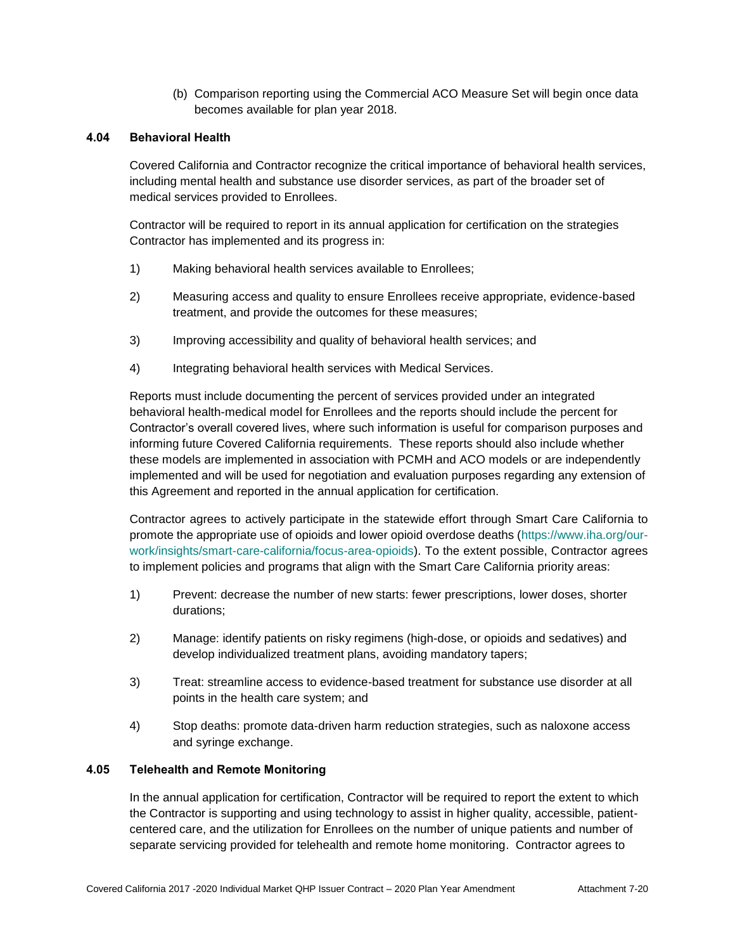(b) Comparison reporting using the Commercial ACO Measure Set will begin once data becomes available for plan year 2018.

#### **4.04 Behavioral Health**

Covered California and Contractor recognize the critical importance of behavioral health services, including mental health and substance use disorder services, as part of the broader set of medical services provided to Enrollees.

Contractor will be required to report in its annual application for certification on the strategies Contractor has implemented and its progress in:

- 1) Making behavioral health services available to Enrollees;
- 2) Measuring access and quality to ensure Enrollees receive appropriate, evidence-based treatment, and provide the outcomes for these measures;
- 3) Improving accessibility and quality of behavioral health services; and
- 4) Integrating behavioral health services with Medical Services.

Reports must include documenting the percent of services provided under an integrated behavioral health-medical model for Enrollees and the reports should include the percent for Contractor's overall covered lives, where such information is useful for comparison purposes and informing future Covered California requirements. These reports should also include whether these models are implemented in association with PCMH and ACO models or are independently implemented and will be used for negotiation and evaluation purposes regarding any extension of this Agreement and reported in the annual application for certification.

Contractor agrees to actively participate in the statewide effort through Smart Care California to promote the appropriate use of opioids and lower opioid overdose deaths [\(https://www.iha.org/our](https://www.iha.org/our-work/insights/smart-care-california/focus-area-opioids)[work/insights/smart-care-california/focus-area-opioids\)](https://www.iha.org/our-work/insights/smart-care-california/focus-area-opioids). To the extent possible, Contractor agrees to implement policies and programs that align with the Smart Care California priority areas:

- 1) Prevent: decrease the number of new starts: fewer prescriptions, lower doses, shorter durations;
- 2) Manage: identify patients on risky regimens (high-dose, or opioids and sedatives) and develop individualized treatment plans, avoiding mandatory tapers;
- 3) Treat: streamline access to evidence-based treatment for substance use disorder at all points in the health care system; and
- 4) Stop deaths: promote data-driven harm reduction strategies, such as naloxone access and syringe exchange.

# **4.05 Telehealth and Remote Monitoring**

In the annual application for certification, Contractor will be required to report the extent to which the Contractor is supporting and using technology to assist in higher quality, accessible, patientcentered care, and the utilization for Enrollees on the number of unique patients and number of separate servicing provided for telehealth and remote home monitoring. Contractor agrees to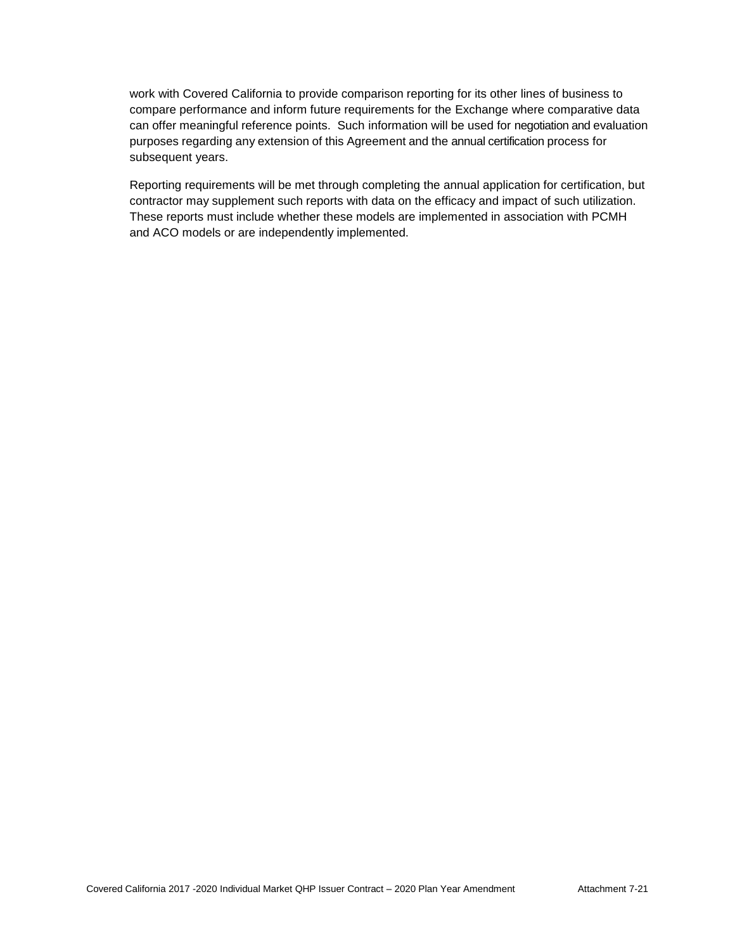work with Covered California to provide comparison reporting for its other lines of business to compare performance and inform future requirements for the Exchange where comparative data can offer meaningful reference points. Such information will be used for negotiation and evaluation purposes regarding any extension of this Agreement and the annual certification process for subsequent years.

Reporting requirements will be met through completing the annual application for certification, but contractor may supplement such reports with data on the efficacy and impact of such utilization. These reports must include whether these models are implemented in association with PCMH and ACO models or are independently implemented.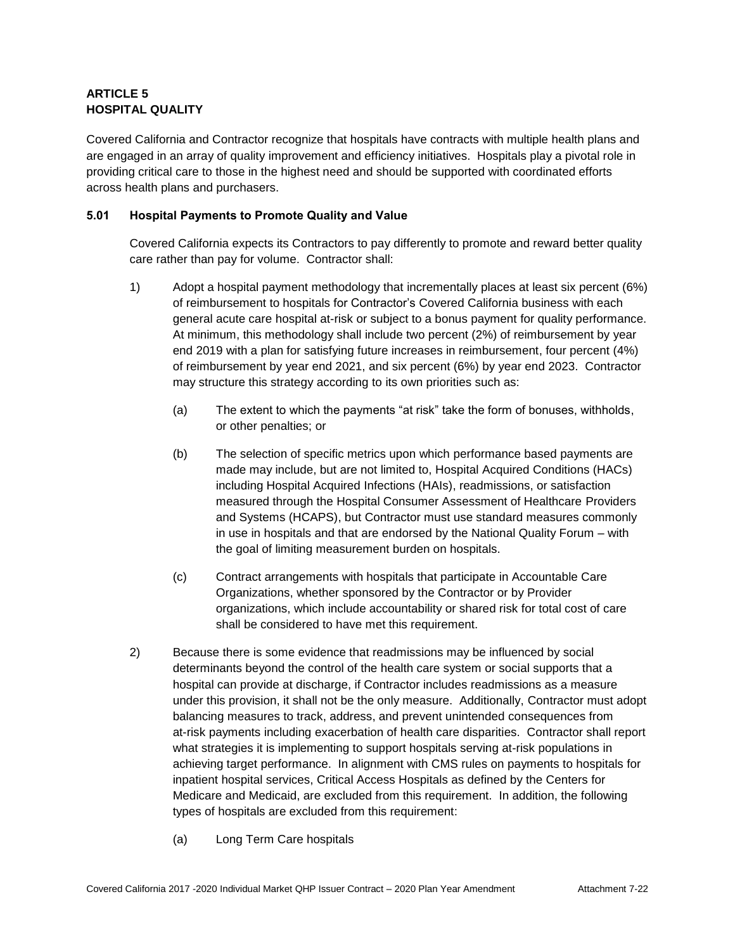# **ARTICLE 5 HOSPITAL QUALITY**

Covered California and Contractor recognize that hospitals have contracts with multiple health plans and are engaged in an array of quality improvement and efficiency initiatives. Hospitals play a pivotal role in providing critical care to those in the highest need and should be supported with coordinated efforts across health plans and purchasers.

# **5.01 Hospital Payments to Promote Quality and Value**

Covered California expects its Contractors to pay differently to promote and reward better quality care rather than pay for volume. Contractor shall:

- 1) Adopt a hospital payment methodology that incrementally places at least six percent (6%) of reimbursement to hospitals for Contractor's Covered California business with each general acute care hospital at-risk or subject to a bonus payment for quality performance. At minimum, this methodology shall include two percent (2%) of reimbursement by year end 2019 with a plan for satisfying future increases in reimbursement, four percent (4%) of reimbursement by year end 2021, and six percent (6%) by year end 2023. Contractor may structure this strategy according to its own priorities such as:
	- (a) The extent to which the payments "at risk" take the form of bonuses, withholds, or other penalties; or
	- (b) The selection of specific metrics upon which performance based payments are made may include, but are not limited to, Hospital Acquired Conditions (HACs) including Hospital Acquired Infections (HAIs), readmissions, or satisfaction measured through the Hospital Consumer Assessment of Healthcare Providers and Systems (HCAPS), but Contractor must use standard measures commonly in use in hospitals and that are endorsed by the National Quality Forum – with the goal of limiting measurement burden on hospitals.
	- (c) Contract arrangements with hospitals that participate in Accountable Care Organizations, whether sponsored by the Contractor or by Provider organizations, which include accountability or shared risk for total cost of care shall be considered to have met this requirement.
- 2) Because there is some evidence that readmissions may be influenced by social determinants beyond the control of the health care system or social supports that a hospital can provide at discharge, if Contractor includes readmissions as a measure under this provision, it shall not be the only measure. Additionally, Contractor must adopt balancing measures to track, address, and prevent unintended consequences from at-risk payments including exacerbation of health care disparities. Contractor shall report what strategies it is implementing to support hospitals serving at-risk populations in achieving target performance. In alignment with CMS rules on payments to hospitals for inpatient hospital services, Critical Access Hospitals as defined by the Centers for Medicare and Medicaid, are excluded from this requirement. In addition, the following types of hospitals are excluded from this requirement:
	- (a) Long Term Care hospitals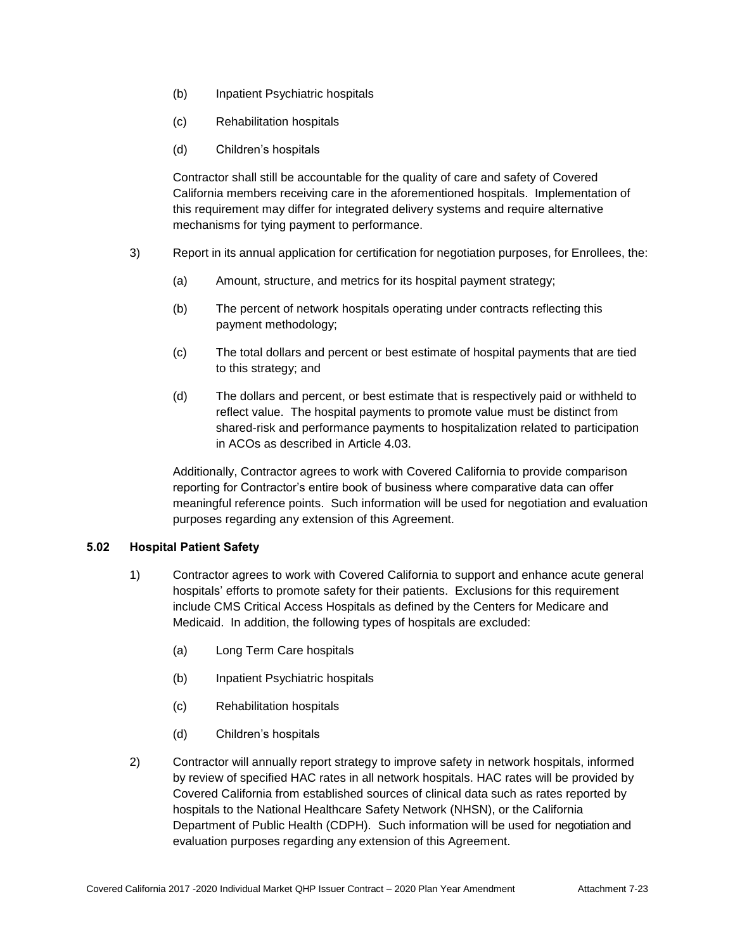- (b) Inpatient Psychiatric hospitals
- (c) Rehabilitation hospitals
- (d) Children's hospitals

Contractor shall still be accountable for the quality of care and safety of Covered California members receiving care in the aforementioned hospitals. Implementation of this requirement may differ for integrated delivery systems and require alternative mechanisms for tying payment to performance.

- 3) Report in its annual application for certification for negotiation purposes, for Enrollees, the:
	- (a) Amount, structure, and metrics for its hospital payment strategy;
	- (b) The percent of network hospitals operating under contracts reflecting this payment methodology;
	- (c) The total dollars and percent or best estimate of hospital payments that are tied to this strategy; and
	- (d) The dollars and percent, or best estimate that is respectively paid or withheld to reflect value. The hospital payments to promote value must be distinct from shared-risk and performance payments to hospitalization related to participation in ACOs as described in Article 4.03.

Additionally, Contractor agrees to work with Covered California to provide comparison reporting for Contractor's entire book of business where comparative data can offer meaningful reference points. Such information will be used for negotiation and evaluation purposes regarding any extension of this Agreement.

#### **5.02 Hospital Patient Safety**

- 1) Contractor agrees to work with Covered California to support and enhance acute general hospitals' efforts to promote safety for their patients. Exclusions for this requirement include CMS Critical Access Hospitals as defined by the Centers for Medicare and Medicaid. In addition, the following types of hospitals are excluded:
	- (a) Long Term Care hospitals
	- (b) Inpatient Psychiatric hospitals
	- (c) Rehabilitation hospitals
	- (d) Children's hospitals
- 2) Contractor will annually report strategy to improve safety in network hospitals, informed by review of specified HAC rates in all network hospitals. HAC rates will be provided by Covered California from established sources of clinical data such as rates reported by hospitals to the National Healthcare Safety Network (NHSN), or the California Department of Public Health (CDPH). Such information will be used for negotiation and evaluation purposes regarding any extension of this Agreement.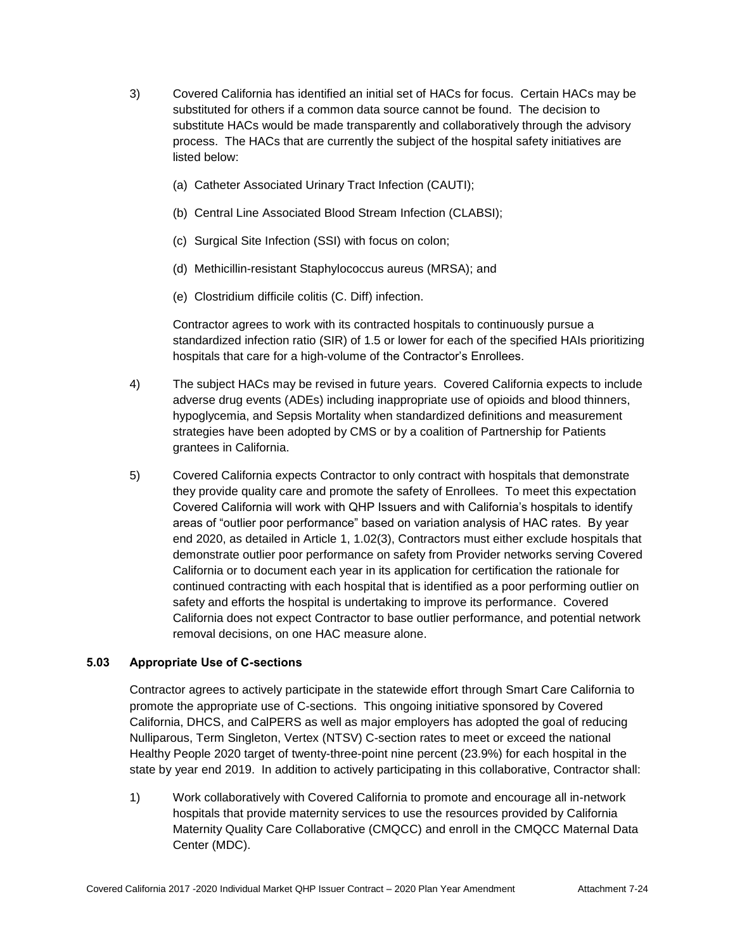- 3) Covered California has identified an initial set of HACs for focus. Certain HACs may be substituted for others if a common data source cannot be found. The decision to substitute HACs would be made transparently and collaboratively through the advisory process. The HACs that are currently the subject of the hospital safety initiatives are listed below:
	- (a) Catheter Associated Urinary Tract Infection (CAUTI);
	- (b) Central Line Associated Blood Stream Infection (CLABSI);
	- (c) Surgical Site Infection (SSI) with focus on colon;
	- (d) Methicillin-resistant Staphylococcus aureus (MRSA); and
	- (e) Clostridium difficile [colitis](http://www.webmd.com/ibd-crohns-disease/ulcerative-colitis/default.htm) (C. Diff) infection.

Contractor agrees to work with its contracted hospitals to continuously pursue a standardized infection ratio (SIR) of 1.5 or lower for each of the specified HAIs prioritizing hospitals that care for a high-volume of the Contractor's Enrollees.

- 4) The subject HACs may be revised in future years. Covered California expects to include adverse drug events (ADEs) including inappropriate use of opioids and blood thinners, hypoglycemia, and Sepsis Mortality when standardized definitions and measurement strategies have been adopted by CMS or by a coalition of Partnership for Patients grantees in California.
- 5) Covered California expects Contractor to only contract with hospitals that demonstrate they provide quality care and promote the safety of Enrollees. To meet this expectation Covered California will work with QHP Issuers and with California's hospitals to identify areas of "outlier poor performance" based on variation analysis of HAC rates. By year end 2020, as detailed in Article 1, 1.02(3), Contractors must either exclude hospitals that demonstrate outlier poor performance on safety from Provider networks serving Covered California or to document each year in its application for certification the rationale for continued contracting with each hospital that is identified as a poor performing outlier on safety and efforts the hospital is undertaking to improve its performance. Covered California does not expect Contractor to base outlier performance, and potential network removal decisions, on one HAC measure alone.

# **5.03 Appropriate Use of C-sections**

Contractor agrees to actively participate in the statewide effort through Smart Care California to promote the appropriate use of C-sections. This ongoing initiative sponsored by Covered California, DHCS, and CalPERS as well as major employers has adopted the goal of reducing Nulliparous, Term Singleton, Vertex (NTSV) C-section rates to meet or exceed the national Healthy People 2020 target of twenty-three-point nine percent (23.9%) for each hospital in the state by year end 2019. In addition to actively participating in this collaborative, Contractor shall:

1) Work collaboratively with Covered California to promote and encourage all in-network hospitals that provide maternity services to use the resources provided by California Maternity Quality Care Collaborative (CMQCC) and enroll in the CMQCC Maternal Data Center (MDC).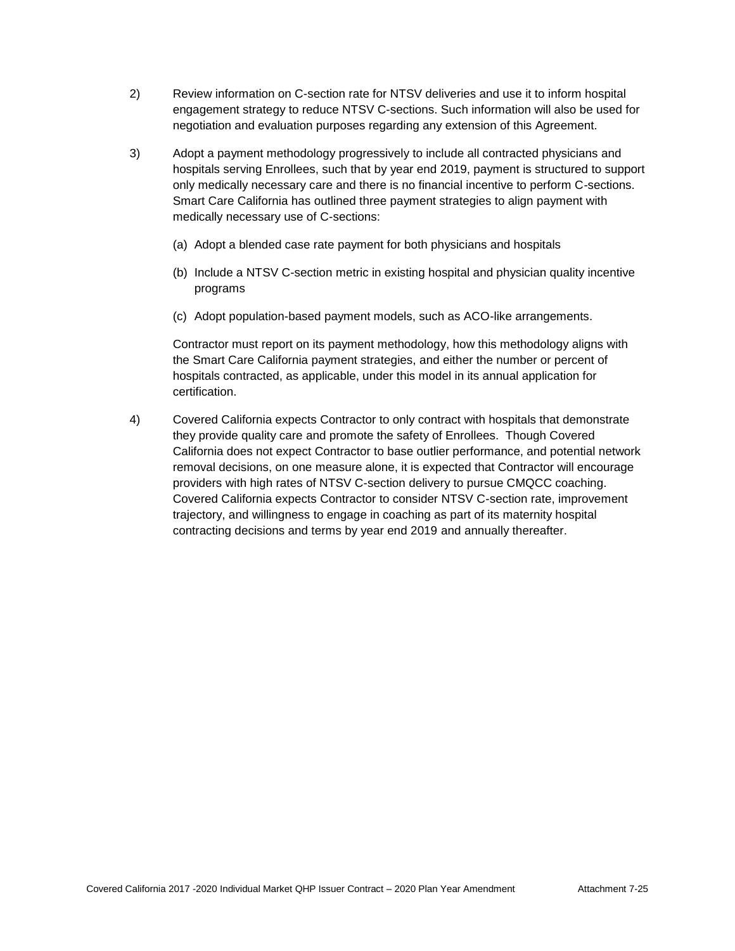- 2) Review information on C-section rate for NTSV deliveries and use it to inform hospital engagement strategy to reduce NTSV C-sections. Such information will also be used for negotiation and evaluation purposes regarding any extension of this Agreement.
- 3) Adopt a payment methodology progressively to include all contracted physicians and hospitals serving Enrollees, such that by year end 2019, payment is structured to support only medically necessary care and there is no financial incentive to perform C-sections. Smart Care California has outlined three payment strategies to align payment with medically necessary use of C-sections:
	- (a) Adopt a blended case rate payment for both physicians and hospitals
	- (b) Include a NTSV C-section metric in existing hospital and physician quality incentive programs
	- (c) Adopt population-based payment models, such as ACO-like arrangements.

Contractor must report on its payment methodology, how this methodology aligns with the Smart Care California payment strategies, and either the number or percent of hospitals contracted, as applicable, under this model in its annual application for certification.

4) Covered California expects Contractor to only contract with hospitals that demonstrate they provide quality care and promote the safety of Enrollees. Though Covered California does not expect Contractor to base outlier performance, and potential network removal decisions, on one measure alone, it is expected that Contractor will encourage providers with high rates of NTSV C-section delivery to pursue CMQCC coaching. Covered California expects Contractor to consider NTSV C-section rate, improvement trajectory, and willingness to engage in coaching as part of its maternity hospital contracting decisions and terms by year end 2019 and annually thereafter.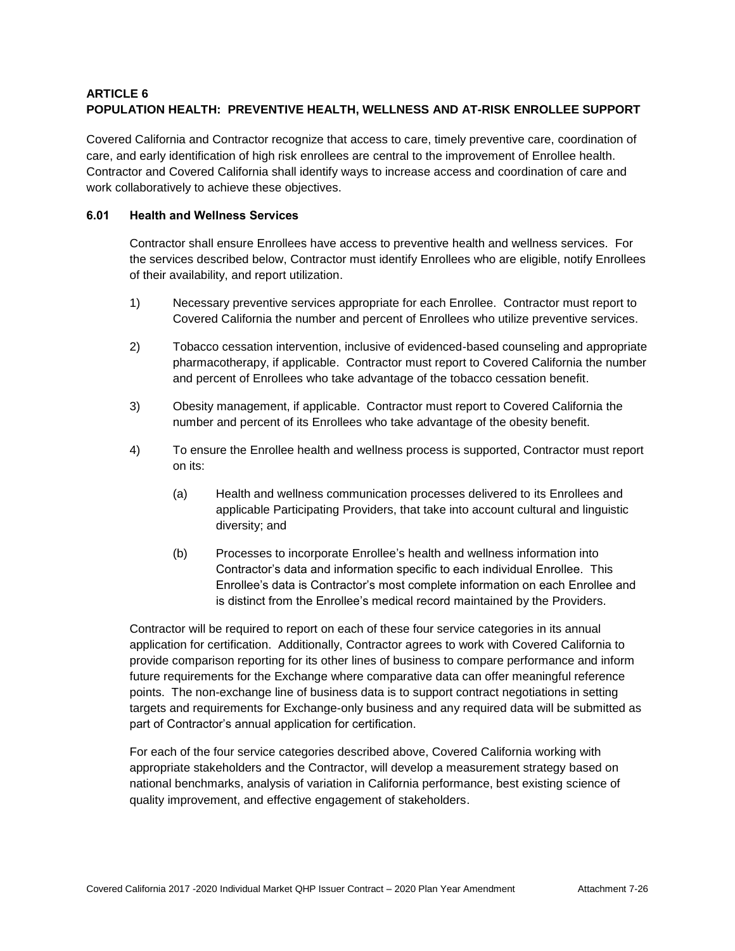# **ARTICLE 6 POPULATION HEALTH: PREVENTIVE HEALTH, WELLNESS AND AT-RISK ENROLLEE SUPPORT**

Covered California and Contractor recognize that access to care, timely preventive care, coordination of care, and early identification of high risk enrollees are central to the improvement of Enrollee health. Contractor and Covered California shall identify ways to increase access and coordination of care and work collaboratively to achieve these objectives.

# **6.01 Health and Wellness Services**

Contractor shall ensure Enrollees have access to preventive health and wellness services. For the services described below, Contractor must identify Enrollees who are eligible, notify Enrollees of their availability, and report utilization.

- 1) Necessary preventive services appropriate for each Enrollee. Contractor must report to Covered California the number and percent of Enrollees who utilize preventive services.
- 2) Tobacco cessation intervention, inclusive of evidenced-based counseling and appropriate pharmacotherapy, if applicable. Contractor must report to Covered California the number and percent of Enrollees who take advantage of the tobacco cessation benefit.
- 3) Obesity management, if applicable. Contractor must report to Covered California the number and percent of its Enrollees who take advantage of the obesity benefit.
- 4) To ensure the Enrollee health and wellness process is supported, Contractor must report on its:
	- (a) Health and wellness communication processes delivered to its Enrollees and applicable Participating Providers, that take into account cultural and linguistic diversity; and
	- (b) Processes to incorporate Enrollee's health and wellness information into Contractor's data and information specific to each individual Enrollee. This Enrollee's data is Contractor's most complete information on each Enrollee and is distinct from the Enrollee's medical record maintained by the Providers.

Contractor will be required to report on each of these four service categories in its annual application for certification. Additionally, Contractor agrees to work with Covered California to provide comparison reporting for its other lines of business to compare performance and inform future requirements for the Exchange where comparative data can offer meaningful reference points. The non-exchange line of business data is to support contract negotiations in setting targets and requirements for Exchange-only business and any required data will be submitted as part of Contractor's annual application for certification.

For each of the four service categories described above, Covered California working with appropriate stakeholders and the Contractor, will develop a measurement strategy based on national benchmarks, analysis of variation in California performance, best existing science of quality improvement, and effective engagement of stakeholders.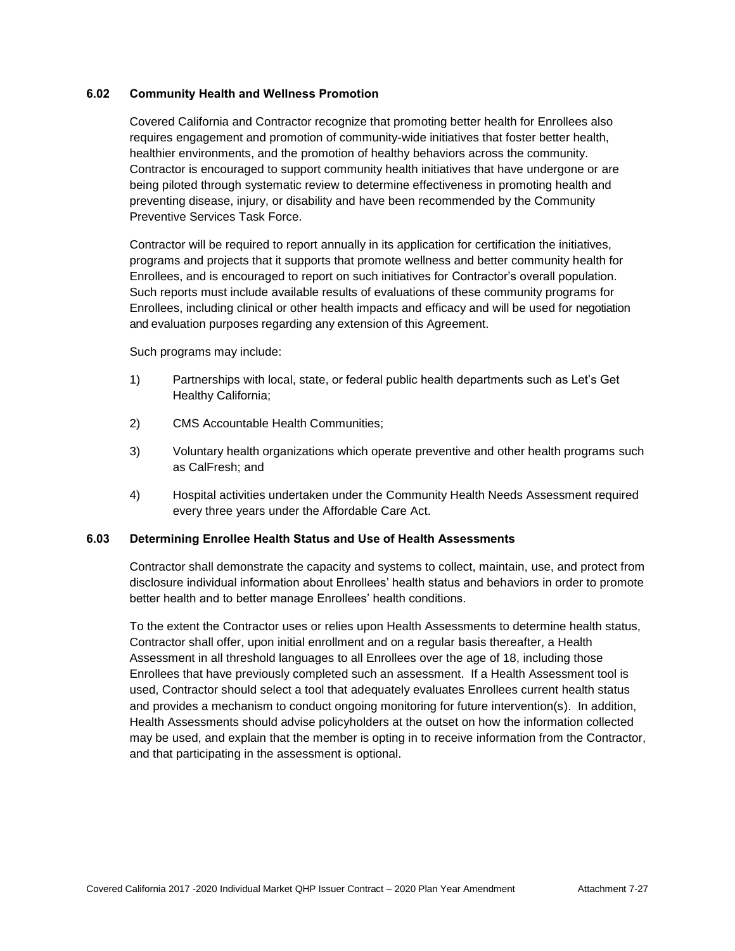# **6.02 Community Health and Wellness Promotion**

Covered California and Contractor recognize that promoting better health for Enrollees also requires engagement and promotion of community-wide initiatives that foster better health, healthier environments, and the promotion of healthy behaviors across the community. Contractor is encouraged to support community health initiatives that have undergone or are being piloted through systematic review to determine effectiveness in promoting health and preventing disease, injury, or disability and have been recommended by the Community Preventive Services Task Force.

Contractor will be required to report annually in its application for certification the initiatives, programs and projects that it supports that promote wellness and better community health for Enrollees, and is encouraged to report on such initiatives for Contractor's overall population. Such reports must include available results of evaluations of these community programs for Enrollees, including clinical or other health impacts and efficacy and will be used for negotiation and evaluation purposes regarding any extension of this Agreement.

Such programs may include:

- 1) Partnerships with local, state, or federal public health departments such as Let's Get Healthy California;
- 2) CMS Accountable Health Communities;
- 3) Voluntary health organizations which operate preventive and other health programs such as CalFresh; and
- 4) Hospital activities undertaken under the Community Health Needs Assessment required every three years under the Affordable Care Act.

#### **6.03 Determining Enrollee Health Status and Use of Health Assessments**

Contractor shall demonstrate the capacity and systems to collect, maintain, use, and protect from disclosure individual information about Enrollees' health status and behaviors in order to promote better health and to better manage Enrollees' health conditions.

To the extent the Contractor uses or relies upon Health Assessments to determine health status, Contractor shall offer, upon initial enrollment and on a regular basis thereafter, a Health Assessment in all threshold languages to all Enrollees over the age of 18, including those Enrollees that have previously completed such an assessment. If a Health Assessment tool is used, Contractor should select a tool that adequately evaluates Enrollees current health status and provides a mechanism to conduct ongoing monitoring for future intervention(s). In addition, Health Assessments should advise policyholders at the outset on how the information collected may be used, and explain that the member is opting in to receive information from the Contractor, and that participating in the assessment is optional.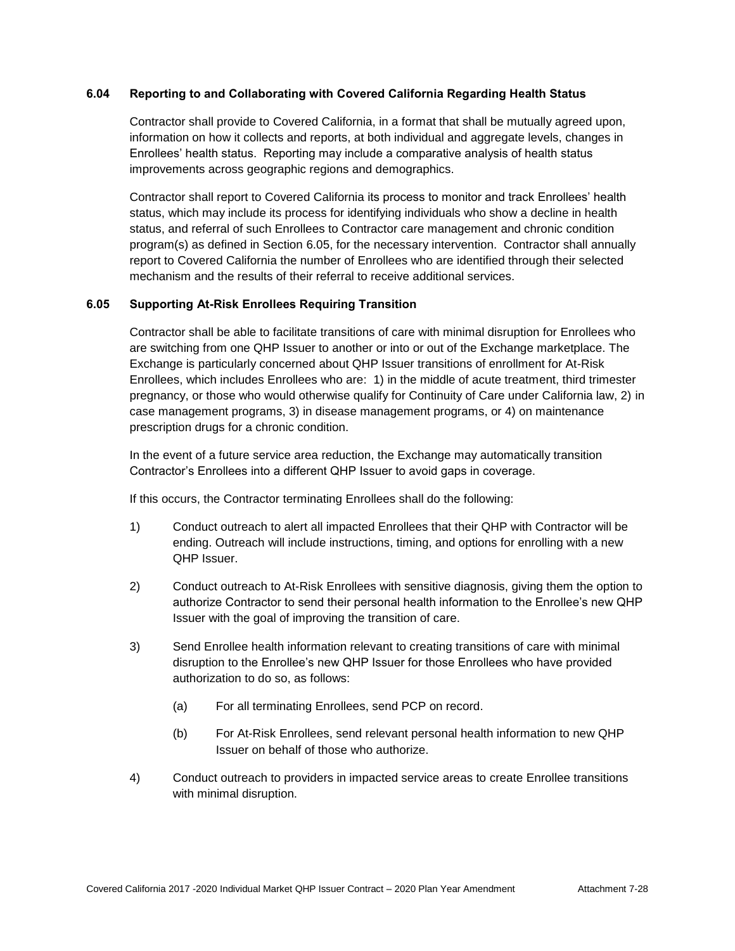### **6.04 Reporting to and Collaborating with Covered California Regarding Health Status**

Contractor shall provide to Covered California, in a format that shall be mutually agreed upon, information on how it collects and reports, at both individual and aggregate levels, changes in Enrollees' health status. Reporting may include a comparative analysis of health status improvements across geographic regions and demographics.

Contractor shall report to Covered California its process to monitor and track Enrollees' health status, which may include its process for identifying individuals who show a decline in health status, and referral of such Enrollees to Contractor care management and chronic condition program(s) as defined in Section 6.05, for the necessary intervention. Contractor shall annually report to Covered California the number of Enrollees who are identified through their selected mechanism and the results of their referral to receive additional services.

# **6.05 Supporting At-Risk Enrollees Requiring Transition**

Contractor shall be able to facilitate transitions of care with minimal disruption for Enrollees who are switching from one QHP Issuer to another or into or out of the Exchange marketplace. The Exchange is particularly concerned about QHP Issuer transitions of enrollment for At-Risk Enrollees, which includes Enrollees who are: 1) in the middle of acute treatment, third trimester pregnancy, or those who would otherwise qualify for Continuity of Care under California law, 2) in case management programs, 3) in disease management programs, or 4) on maintenance prescription drugs for a chronic condition.

In the event of a future service area reduction, the Exchange may automatically transition Contractor's Enrollees into a different QHP Issuer to avoid gaps in coverage.

If this occurs, the Contractor terminating Enrollees shall do the following:

- 1) Conduct outreach to alert all impacted Enrollees that their QHP with Contractor will be ending. Outreach will include instructions, timing, and options for enrolling with a new QHP Issuer.
- 2) Conduct outreach to At-Risk Enrollees with sensitive diagnosis, giving them the option to authorize Contractor to send their personal health information to the Enrollee's new QHP Issuer with the goal of improving the transition of care.
- 3) Send Enrollee health information relevant to creating transitions of care with minimal disruption to the Enrollee's new QHP Issuer for those Enrollees who have provided authorization to do so, as follows:
	- (a) For all terminating Enrollees, send PCP on record.
	- (b) For At-Risk Enrollees, send relevant personal health information to new QHP Issuer on behalf of those who authorize.
- 4) Conduct outreach to providers in impacted service areas to create Enrollee transitions with minimal disruption.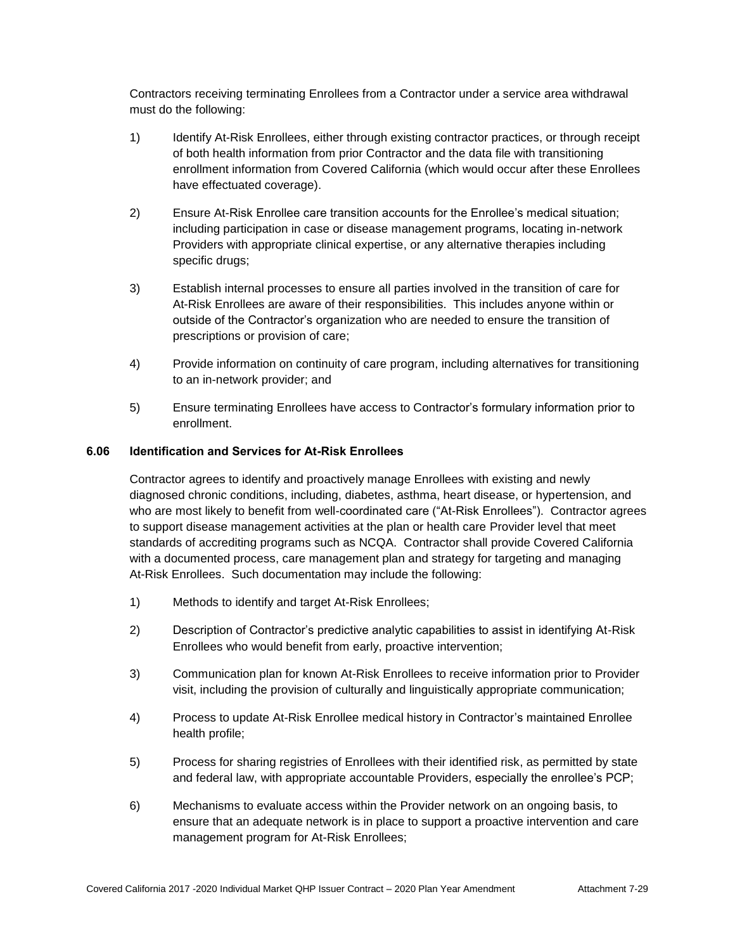Contractors receiving terminating Enrollees from a Contractor under a service area withdrawal must do the following:

- 1) Identify At-Risk Enrollees, either through existing contractor practices, or through receipt of both health information from prior Contractor and the data file with transitioning enrollment information from Covered California (which would occur after these Enrollees have effectuated coverage).
- 2) Ensure At-Risk Enrollee care transition accounts for the Enrollee's medical situation; including participation in case or disease management programs, locating in-network Providers with appropriate clinical expertise, or any alternative therapies including specific drugs;
- 3) Establish internal processes to ensure all parties involved in the transition of care for At-Risk Enrollees are aware of their responsibilities. This includes anyone within or outside of the Contractor's organization who are needed to ensure the transition of prescriptions or provision of care;
- 4) Provide information on continuity of care program, including alternatives for transitioning to an in-network provider; and
- 5) Ensure terminating Enrollees have access to Contractor's formulary information prior to enrollment.

# **6.06 Identification and Services for At-Risk Enrollees**

Contractor agrees to identify and proactively manage Enrollees with existing and newly diagnosed chronic conditions, including, diabetes, asthma, heart disease, or hypertension, and who are most likely to benefit from well-coordinated care ("At-Risk Enrollees"). Contractor agrees to support disease management activities at the plan or health care Provider level that meet standards of accrediting programs such as NCQA. Contractor shall provide Covered California with a documented process, care management plan and strategy for targeting and managing At-Risk Enrollees. Such documentation may include the following:

- 1) Methods to identify and target At-Risk Enrollees;
- 2) Description of Contractor's predictive analytic capabilities to assist in identifying At-Risk Enrollees who would benefit from early, proactive intervention;
- 3) Communication plan for known At-Risk Enrollees to receive information prior to Provider visit, including the provision of culturally and linguistically appropriate communication;
- 4) Process to update At-Risk Enrollee medical history in Contractor's maintained Enrollee health profile;
- 5) Process for sharing registries of Enrollees with their identified risk, as permitted by state and federal law, with appropriate accountable Providers, especially the enrollee's PCP;
- 6) Mechanisms to evaluate access within the Provider network on an ongoing basis, to ensure that an adequate network is in place to support a proactive intervention and care management program for At-Risk Enrollees;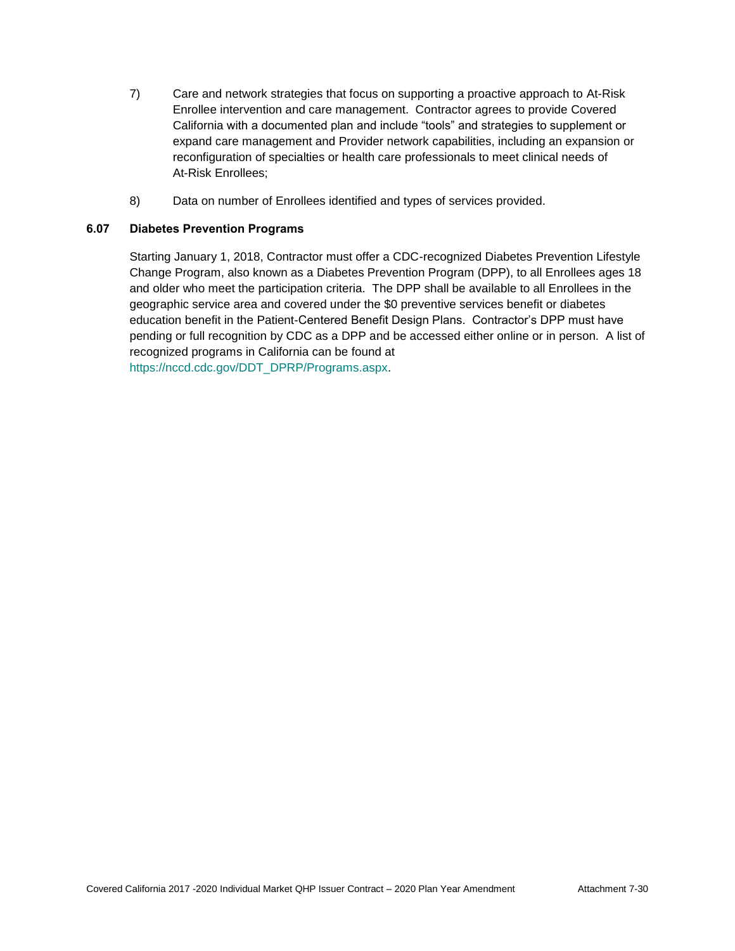- 7) Care and network strategies that focus on supporting a proactive approach to At-Risk Enrollee intervention and care management. Contractor agrees to provide Covered California with a documented plan and include "tools" and strategies to supplement or expand care management and Provider network capabilities, including an expansion or reconfiguration of specialties or health care professionals to meet clinical needs of At-Risk Enrollees;
- 8) Data on number of Enrollees identified and types of services provided.

# **6.07 Diabetes Prevention Programs**

Starting January 1, 2018, Contractor must offer a CDC-recognized Diabetes Prevention Lifestyle Change Program, also known as a Diabetes Prevention Program (DPP), to all Enrollees ages 18 and older who meet the participation criteria. The DPP shall be available to all Enrollees in the geographic service area and covered under the \$0 preventive services benefit or diabetes education benefit in the Patient-Centered Benefit Design Plans. Contractor's DPP must have pending or full recognition by CDC as a DPP and be accessed either online or in person. A list of recognized programs in California can be found at [https://nccd.cdc.gov/DDT\\_DPRP/Programs.aspx.](https://nccd.cdc.gov/DDT_DPRP/Programs.aspx)

Covered California 2017 -2020 Individual Market QHP Issuer Contract – 2020 Plan Year Amendment Attachment 7-30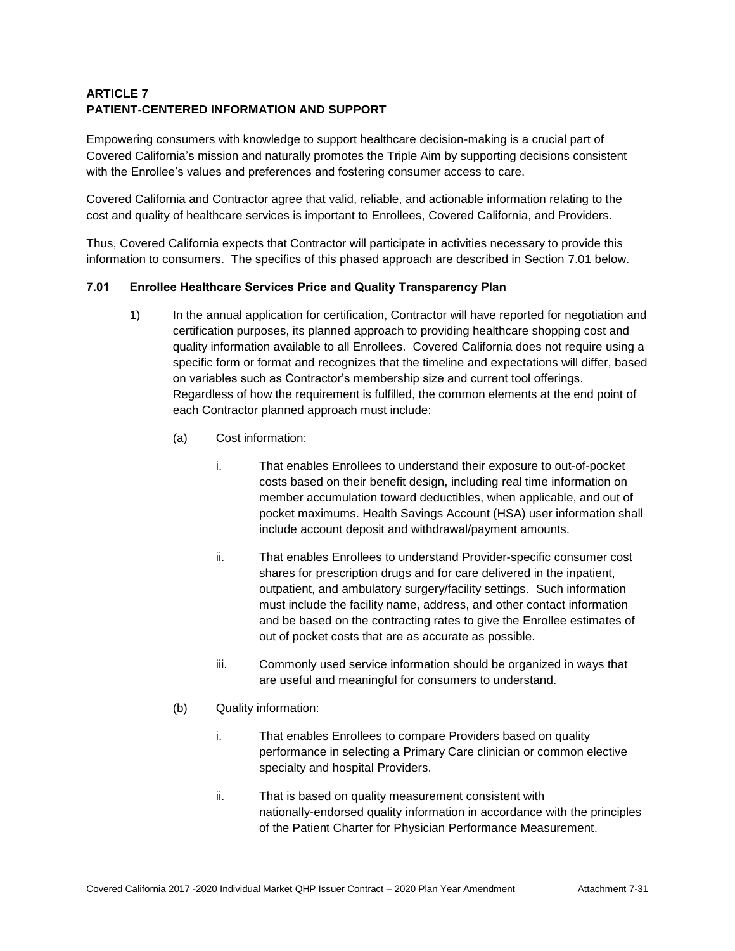# **ARTICLE 7 PATIENT-CENTERED INFORMATION AND SUPPORT**

Empowering consumers with knowledge to support healthcare decision-making is a crucial part of Covered California's mission and naturally promotes the Triple Aim by supporting decisions consistent with the Enrollee's values and preferences and fostering consumer access to care.

Covered California and Contractor agree that valid, reliable, and actionable information relating to the cost and quality of healthcare services is important to Enrollees, Covered California, and Providers.

Thus, Covered California expects that Contractor will participate in activities necessary to provide this information to consumers. The specifics of this phased approach are described in Section 7.01 below.

# **7.01 Enrollee Healthcare Services Price and Quality Transparency Plan**

- 1) In the annual application for certification, Contractor will have reported for negotiation and certification purposes, its planned approach to providing healthcare shopping cost and quality information available to all Enrollees. Covered California does not require using a specific form or format and recognizes that the timeline and expectations will differ, based on variables such as Contractor's membership size and current tool offerings. Regardless of how the requirement is fulfilled, the common elements at the end point of each Contractor planned approach must include:
	- (a) Cost information:
		- i. That enables Enrollees to understand their exposure to out-of-pocket costs based on their benefit design, including real time information on member accumulation toward deductibles, when applicable, and out of pocket maximums. Health Savings Account (HSA) user information shall include account deposit and withdrawal/payment amounts.
		- ii. That enables Enrollees to understand Provider-specific consumer cost shares for prescription drugs and for care delivered in the inpatient, outpatient, and ambulatory surgery/facility settings. Such information must include the facility name, address, and other contact information and be based on the contracting rates to give the Enrollee estimates of out of pocket costs that are as accurate as possible.
		- iii. Commonly used service information should be organized in ways that are useful and meaningful for consumers to understand.
	- (b) Quality information:
		- i. That enables Enrollees to compare Providers based on quality performance in selecting a Primary Care clinician or common elective specialty and hospital Providers.
		- ii. That is based on quality measurement consistent with nationally-endorsed quality information in accordance with the principles of the Patient Charter for Physician Performance Measurement.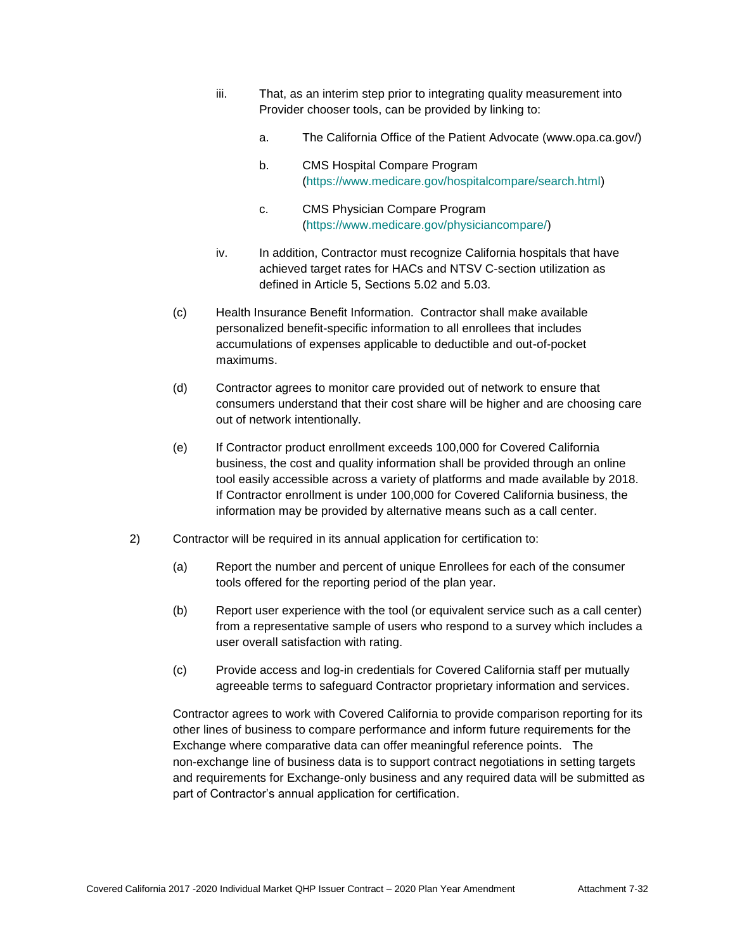- iii. That, as an interim step prior to integrating quality measurement into Provider chooser tools, can be provided by linking to:
	- a. The California Office of the Patient Advocate (www.opa.ca.gov/)
	- b. CMS Hospital Compare Program [\(https://www.medicare.gov/hospitalcompare/search.html\)](https://www.medicare.gov/hospitalcompare/search.html)
	- c. CMS Physician Compare Program [\(https://www.medicare.gov/physiciancompare/\)](https://gcc01.safelinks.protection.outlook.com/?url=https%3A%2F%2Fwww.medicare.gov%2Fphysiciancompare%2F&data=02%7C01%7CLisa.Schenck%40covered.ca.gov%7C0b975639bac548e5ba8e08d6c1d69540%7C466d2f7db1424b9c8cddeba5537a0f27%7C0%7C0%7C636909524700295392&sdata=1%2F3YnanKKiv6qiINZYz8rc0vfq9na01dliDlGmKIGMM%3D&reserved=0)
- iv. In addition, Contractor must recognize California hospitals that have achieved target rates for HACs and NTSV C-section utilization as defined in Article 5, Sections 5.02 and 5.03.
- (c) Health Insurance Benefit Information. Contractor shall make available personalized benefit-specific information to all enrollees that includes accumulations of expenses applicable to deductible and out-of-pocket maximums.
- (d) Contractor agrees to monitor care provided out of network to ensure that consumers understand that their cost share will be higher and are choosing care out of network intentionally.
- (e) If Contractor product enrollment exceeds 100,000 for Covered California business, the cost and quality information shall be provided through an online tool easily accessible across a variety of platforms and made available by 2018. If Contractor enrollment is under 100,000 for Covered California business, the information may be provided by alternative means such as a call center.
- 2) Contractor will be required in its annual application for certification to:
	- (a) Report the number and percent of unique Enrollees for each of the consumer tools offered for the reporting period of the plan year.
	- (b) Report user experience with the tool (or equivalent service such as a call center) from a representative sample of users who respond to a survey which includes a user overall satisfaction with rating.
	- (c) Provide access and log-in credentials for Covered California staff per mutually agreeable terms to safeguard Contractor proprietary information and services.

Contractor agrees to work with Covered California to provide comparison reporting for its other lines of business to compare performance and inform future requirements for the Exchange where comparative data can offer meaningful reference points. The non-exchange line of business data is to support contract negotiations in setting targets and requirements for Exchange-only business and any required data will be submitted as part of Contractor's annual application for certification.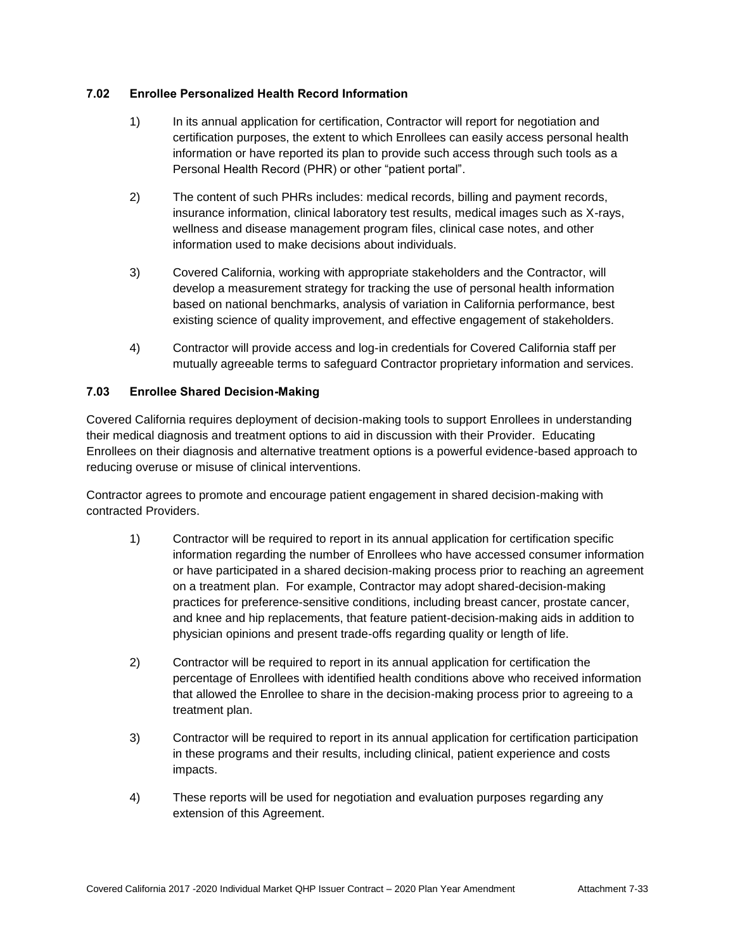# **7.02 Enrollee Personalized Health Record Information**

- 1) In its annual application for certification, Contractor will report for negotiation and certification purposes, the extent to which Enrollees can easily access personal health information or have reported its plan to provide such access through such tools as a Personal Health Record (PHR) or other "patient portal".
- 2) The content of such PHRs includes: medical records, billing and payment records, insurance information, clinical laboratory test results, medical images such as X-rays, wellness and disease management program files, clinical case notes, and other information used to make decisions about individuals.
- 3) Covered California, working with appropriate stakeholders and the Contractor, will develop a measurement strategy for tracking the use of personal health information based on national benchmarks, analysis of variation in California performance, best existing science of quality improvement, and effective engagement of stakeholders.
- 4) Contractor will provide access and log-in credentials for Covered California staff per mutually agreeable terms to safeguard Contractor proprietary information and services.

# **7.03 Enrollee Shared Decision-Making**

Covered California requires deployment of decision-making tools to support Enrollees in understanding their medical diagnosis and treatment options to aid in discussion with their Provider. Educating Enrollees on their diagnosis and alternative treatment options is a powerful evidence-based approach to reducing overuse or misuse of clinical interventions.

Contractor agrees to promote and encourage patient engagement in shared decision-making with contracted Providers.

- 1) Contractor will be required to report in its annual application for certification specific information regarding the number of Enrollees who have accessed consumer information or have participated in a shared decision-making process prior to reaching an agreement on a treatment plan. For example, Contractor may adopt shared-decision-making practices for preference-sensitive conditions, including breast cancer, prostate cancer, and knee and hip replacements, that feature patient-decision-making aids in addition to physician opinions and present trade-offs regarding quality or length of life.
- 2) Contractor will be required to report in its annual application for certification the percentage of Enrollees with identified health conditions above who received information that allowed the Enrollee to share in the decision-making process prior to agreeing to a treatment plan.
- 3) Contractor will be required to report in its annual application for certification participation in these programs and their results, including clinical, patient experience and costs impacts.
- 4) These reports will be used for negotiation and evaluation purposes regarding any extension of this Agreement.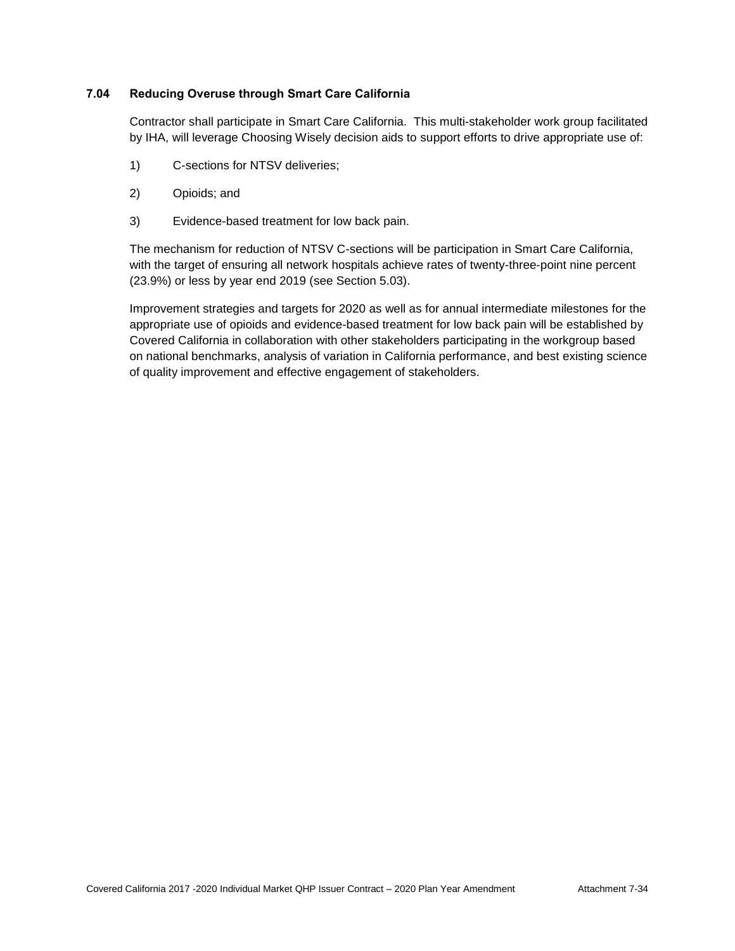# **7.04 Reducing Overuse through Smart Care California**

Contractor shall participate in Smart Care California. This multi-stakeholder work group facilitated by IHA, will leverage Choosing Wisely decision aids to support efforts to drive appropriate use of:

- 1) C-sections for NTSV deliveries;
- 2) Opioids; and
- 3) Evidence-based treatment for low back pain.

The mechanism for reduction of NTSV C-sections will be participation in Smart Care California, with the target of ensuring all network hospitals achieve rates of twenty-three-point nine percent (23.9%) or less by year end 2019 (see Section 5.03).

Improvement strategies and targets for 2020 as well as for annual intermediate milestones for the appropriate use of opioids and evidence-based treatment for low back pain will be established by Covered California in collaboration with other stakeholders participating in the workgroup based on national benchmarks, analysis of variation in California performance, and best existing science of quality improvement and effective engagement of stakeholders.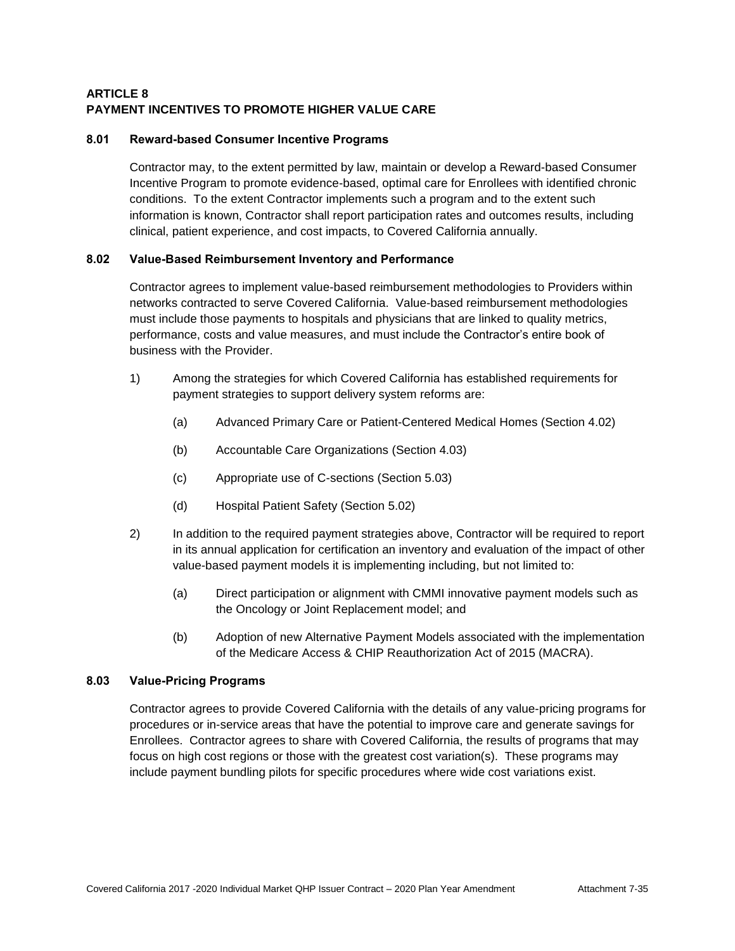# **ARTICLE 8 PAYMENT INCENTIVES TO PROMOTE HIGHER VALUE CARE**

# **8.01 Reward-based Consumer Incentive Programs**

Contractor may, to the extent permitted by law, maintain or develop a Reward-based Consumer Incentive Program to promote evidence-based, optimal care for Enrollees with identified chronic conditions. To the extent Contractor implements such a program and to the extent such information is known, Contractor shall report participation rates and outcomes results, including clinical, patient experience, and cost impacts, to Covered California annually.

# **8.02 Value-Based Reimbursement Inventory and Performance**

Contractor agrees to implement value-based reimbursement methodologies to Providers within networks contracted to serve Covered California. Value-based reimbursement methodologies must include those payments to hospitals and physicians that are linked to quality metrics, performance, costs and value measures, and must include the Contractor's entire book of business with the Provider.

- 1) Among the strategies for which Covered California has established requirements for payment strategies to support delivery system reforms are:
	- (a) Advanced Primary Care or Patient-Centered Medical Homes (Section 4.02)
	- (b) Accountable Care Organizations (Section 4.03)
	- (c) Appropriate use of C-sections (Section 5.03)
	- (d) Hospital Patient Safety (Section 5.02)
- 2) In addition to the required payment strategies above, Contractor will be required to report in its annual application for certification an inventory and evaluation of the impact of other value-based payment models it is implementing including, but not limited to:
	- (a) Direct participation or alignment with CMMI innovative payment models such as the Oncology or Joint Replacement model; and
	- (b) Adoption of new Alternative Payment Models associated with the implementation of the Medicare Access & [CHIP](http://www.insurekidsnow.gov/chip/index.html) Reauthorization Act of 2015 (MACRA).

# **8.03 Value-Pricing Programs**

Contractor agrees to provide Covered California with the details of any value-pricing programs for procedures or in-service areas that have the potential to improve care and generate savings for Enrollees. Contractor agrees to share with Covered California, the results of programs that may focus on high cost regions or those with the greatest cost variation(s). These programs may include payment bundling pilots for specific procedures where wide cost variations exist.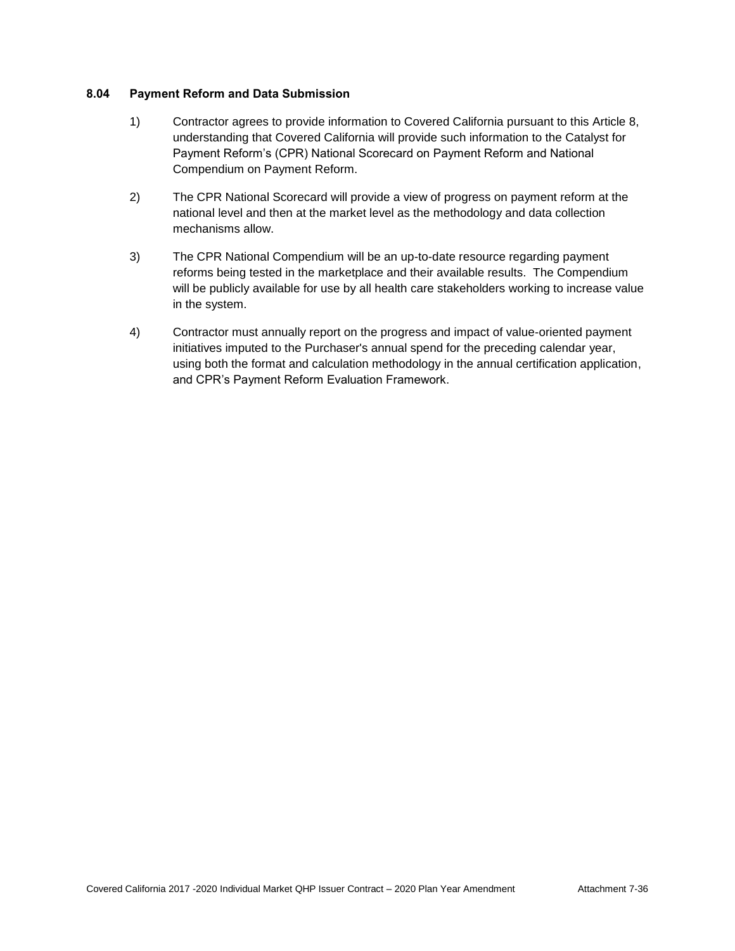# **8.04 Payment Reform and Data Submission**

- 1) Contractor agrees to provide information to Covered California pursuant to this Article 8, understanding that Covered California will provide such information to the Catalyst for Payment Reform's (CPR) National Scorecard on Payment Reform and National Compendium on Payment Reform.
- 2) The CPR National Scorecard will provide a view of progress on payment reform at the national level and then at the market level as the methodology and data collection mechanisms allow.
- 3) The CPR National Compendium will be an up-to-date resource regarding payment reforms being tested in the marketplace and their available results. The Compendium will be publicly available for use by all health care stakeholders working to increase value in the system.
- 4) Contractor must annually report on the progress and impact of value-oriented payment initiatives imputed to the Purchaser's annual spend for the preceding calendar year, using both the format and calculation methodology in the annual certification application, and CPR's Payment Reform Evaluation Framework.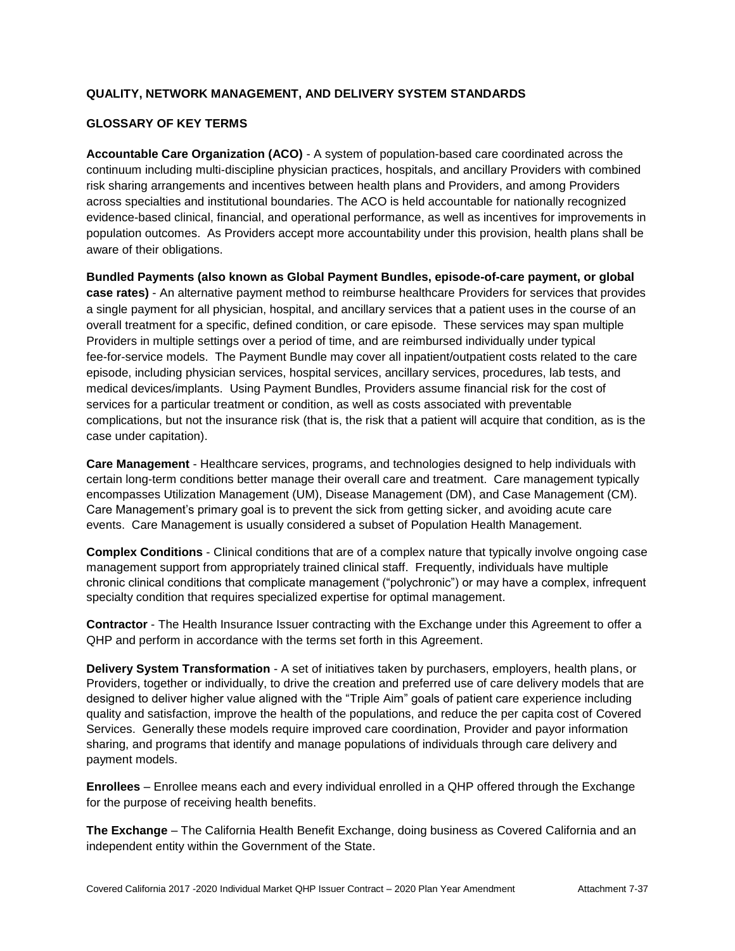# **QUALITY, NETWORK MANAGEMENT, AND DELIVERY SYSTEM STANDARDS**

# **GLOSSARY OF KEY TERMS**

**Accountable Care Organization (ACO)** - A system of population-based care coordinated across the continuum including multi-discipline physician practices, hospitals, and ancillary Providers with combined risk sharing arrangements and incentives between health plans and Providers, and among Providers across specialties and institutional boundaries. The ACO is held accountable for nationally recognized evidence-based clinical, financial, and operational performance, as well as incentives for improvements in population outcomes. As Providers accept more accountability under this provision, health plans shall be aware of their obligations.

**Bundled Payments (also known as Global Payment Bundles, episode-of-care payment, or global case rates)** - An alternative payment method to reimburse healthcare Providers for services that provides a single payment for all physician, hospital, and ancillary services that a patient uses in the course of an overall treatment for a specific, defined condition, or care episode. These services may span multiple Providers in multiple settings over a period of time, and are reimbursed individually under typical fee-for-service models. The Payment Bundle may cover all inpatient/outpatient costs related to the care episode, including physician services, hospital services, ancillary services, procedures, lab tests, and medical devices/implants. Using Payment Bundles, Providers assume financial risk for the cost of services for a particular treatment or condition, as well as costs associated with preventable complications, but not the insurance risk (that is, the risk that a patient will acquire that condition, as is the case under capitation).

**Care Management** - Healthcare services, programs, and technologies designed to help individuals with certain long-term conditions better manage their overall care and treatment. Care management typically encompasses Utilization Management (UM), Disease Management (DM), and Case Management (CM). Care Management's primary goal is to prevent the sick from getting sicker, and avoiding acute care events. Care Management is usually considered a subset of Population Health Management.

**Complex Conditions** - Clinical conditions that are of a complex nature that typically involve ongoing case management support from appropriately trained clinical staff. Frequently, individuals have multiple chronic clinical conditions that complicate management ("polychronic") or may have a complex, infrequent specialty condition that requires specialized expertise for optimal management.

**Contractor** - The Health Insurance Issuer contracting with the Exchange under this Agreement to offer a QHP and perform in accordance with the terms set forth in this Agreement.

**Delivery System Transformation** - A set of initiatives taken by purchasers, employers, health plans, or Providers, together or individually, to drive the creation and preferred use of care delivery models that are designed to deliver higher value aligned with the "Triple Aim" goals of patient care experience including quality and satisfaction, improve the health of the populations, and reduce the per capita cost of Covered Services. Generally these models require improved care coordination, Provider and payor information sharing, and programs that identify and manage populations of individuals through care delivery and payment models.

**Enrollees** – Enrollee means each and every individual enrolled in a QHP offered through the Exchange for the purpose of receiving health benefits.

**The Exchange** – The California Health Benefit Exchange, doing business as Covered California and an independent entity within the Government of the State.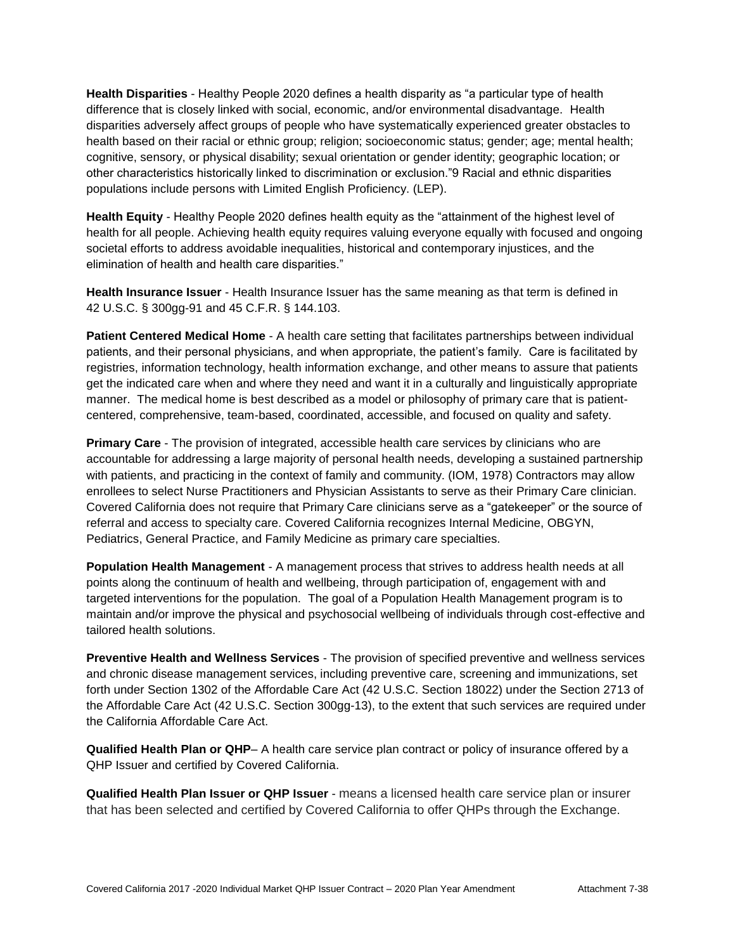**Health Disparities** - Healthy People 2020 defines a health disparity as "a particular type of health difference that is closely linked with social, economic, and/or environmental disadvantage. Health disparities adversely affect groups of people who have systematically experienced greater obstacles to health based on their racial or ethnic group; religion; socioeconomic status; gender; age; mental health; cognitive, sensory, or physical disability; sexual orientation or gender identity; geographic location; or other characteristics historically linked to discrimination or exclusion."9 Racial and ethnic disparities populations include persons with Limited English Proficiency. (LEP).

**Health Equity** - Healthy People 2020 defines health equity as the "attainment of the highest level of health for all people. Achieving health equity requires valuing everyone equally with focused and ongoing societal efforts to address avoidable inequalities, historical and contemporary injustices, and the elimination of health and health care disparities."

**Health Insurance Issuer** - Health Insurance Issuer has the same meaning as that term is defined in 42 U.S.C. § 300gg-91 and 45 C.F.R. § 144.103.

**Patient Centered Medical Home** - A health care setting that facilitates partnerships between individual patients, and their personal physicians, and when appropriate, the patient's family. Care is facilitated by registries, information technology, health information exchange, and other means to assure that patients get the indicated care when and where they need and want it in a culturally and linguistically appropriate manner. The medical home is best described as a model or philosophy of primary care that is patientcentered, comprehensive, team-based, coordinated, accessible, and focused on quality and safety.

**Primary Care** - The provision of integrated, accessible health care services by clinicians who are accountable for addressing a large majority of personal health needs, developing a sustained partnership with patients, and practicing in the context of family and community. (IOM, 1978) Contractors may allow enrollees to select Nurse Practitioners and Physician Assistants to serve as their Primary Care clinician. Covered California does not require that Primary Care clinicians serve as a "gatekeeper" or the source of referral and access to specialty care. Covered California recognizes Internal Medicine, OBGYN, Pediatrics, General Practice, and Family Medicine as primary care specialties.

**Population Health Management** - A management process that strives to address health needs at all points along the continuum of health and wellbeing, through participation of, engagement with and targeted interventions for the population. The goal of a Population Health Management program is to maintain and/or improve the physical and psychosocial wellbeing of individuals through cost-effective and tailored health solutions.

**Preventive Health and Wellness Services** - The provision of specified preventive and wellness services and chronic disease management services, including preventive care, screening and immunizations, set forth under Section 1302 of the Affordable Care Act (42 U.S.C. Section 18022) under the Section 2713 of the Affordable Care Act (42 U.S.C. Section 300gg-13), to the extent that such services are required under the California Affordable Care Act.

**Qualified Health Plan or QHP**– A health care service plan contract or policy of insurance offered by a QHP Issuer and certified by Covered California.

**Qualified Health Plan Issuer or QHP Issuer** - means a licensed health care service plan or insurer that has been selected and certified by Covered California to offer QHPs through the Exchange.